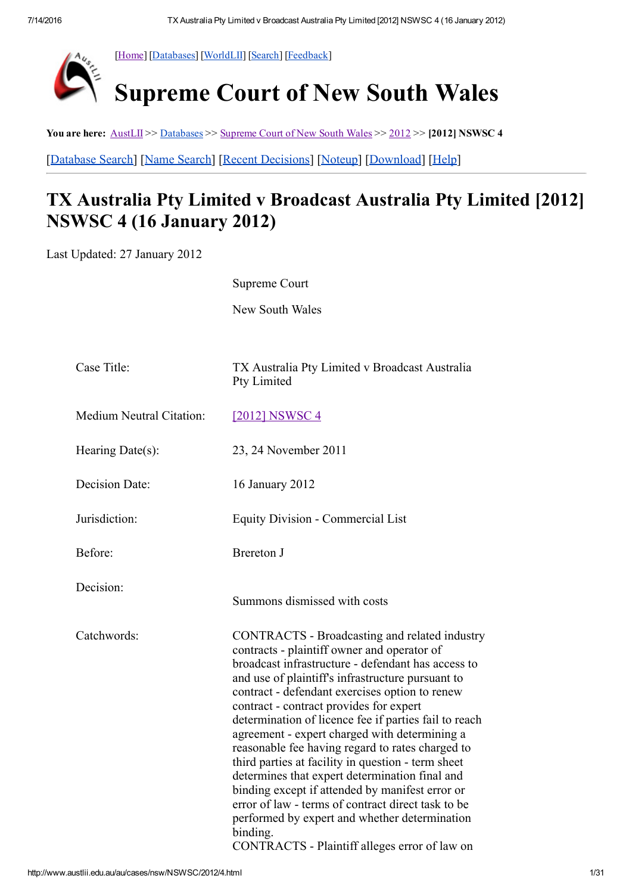

[\[Home\]](http://www.austlii.edu.au/) [\[Databases](http://www.austlii.edu.au/databases.html)] [\[WorldLII\]](http://www.worldlii.org/) [\[Search\]](http://www.austlii.edu.au/forms/search1.html) [[Feedback\]](http://www.austlii.edu.au/austlii/feedback.html)

# Supreme Court of New South Wales

You are here: [AustLII](http://www.austlii.edu.au/) >> [Databases](http://www.austlii.edu.au/databases.html) >> [Supreme](http://www.austlii.edu.au/au/cases/nsw/NSWSC/) Court of New South Wales >> [2012](http://www.austlii.edu.au/au/cases/nsw/NSWSC/2012/) >> [2012] NSWSC 4 [\[Database](http://www.austlii.edu.au/form/search1.html?mask=au/cases/nsw/NSWSC) Search] [Name [Search\]](http://www.austlii.edu.au/form/search1.html?mask=au/cases/nsw/NSWSC&title=1) [Recent [Decisions](http://www.austlii.edu.au/au/cases/nsw/NSWSC/recent.html)] [\[Noteup\]](http://www.austlii.edu.au/cgi-bin/sinosrch.cgi?method=boolean&query=NSWSC+2012+4%20or%202012+NSWSC+4) [\[Download](http://www.austlii.edu.au/au/cases/nsw/NSWSC/2012/4.txt)] [\[Help](http://www.austlii.edu.au/austlii/help/cases.html)]

## TX Australia Pty Limited v Broadcast Australia Pty Limited [2012] NSWSC 4 (16 January 2012)

Last Updated: 27 January 2012

Supreme Court

New South Wales

| Case Title:              | TX Australia Pty Limited v Broadcast Australia<br>Pty Limited                                                                                                                                                                                                                                                                                                                                                                                                                                                                                                                                                                                                                                                                                                                                     |
|--------------------------|---------------------------------------------------------------------------------------------------------------------------------------------------------------------------------------------------------------------------------------------------------------------------------------------------------------------------------------------------------------------------------------------------------------------------------------------------------------------------------------------------------------------------------------------------------------------------------------------------------------------------------------------------------------------------------------------------------------------------------------------------------------------------------------------------|
| Medium Neutral Citation: | <u>[2012] NSWSC 4</u>                                                                                                                                                                                                                                                                                                                                                                                                                                                                                                                                                                                                                                                                                                                                                                             |
| Hearing Date $(s)$ :     | 23, 24 November 2011                                                                                                                                                                                                                                                                                                                                                                                                                                                                                                                                                                                                                                                                                                                                                                              |
| Decision Date:           | 16 January 2012                                                                                                                                                                                                                                                                                                                                                                                                                                                                                                                                                                                                                                                                                                                                                                                   |
| Jurisdiction:            | <b>Equity Division - Commercial List</b>                                                                                                                                                                                                                                                                                                                                                                                                                                                                                                                                                                                                                                                                                                                                                          |
| Before:                  | <b>Brereton J</b>                                                                                                                                                                                                                                                                                                                                                                                                                                                                                                                                                                                                                                                                                                                                                                                 |
| Decision:                | Summons dismissed with costs                                                                                                                                                                                                                                                                                                                                                                                                                                                                                                                                                                                                                                                                                                                                                                      |
| Catchwords:              | CONTRACTS - Broadcasting and related industry<br>contracts - plaintiff owner and operator of<br>broadcast infrastructure - defendant has access to<br>and use of plaintiff's infrastructure pursuant to<br>contract - defendant exercises option to renew<br>contract - contract provides for expert<br>determination of licence fee if parties fail to reach<br>agreement - expert charged with determining a<br>reasonable fee having regard to rates charged to<br>third parties at facility in question - term sheet<br>determines that expert determination final and<br>binding except if attended by manifest error or<br>error of law - terms of contract direct task to be<br>performed by expert and whether determination<br>binding.<br>CONTRACTS - Plaintiff alleges error of law on |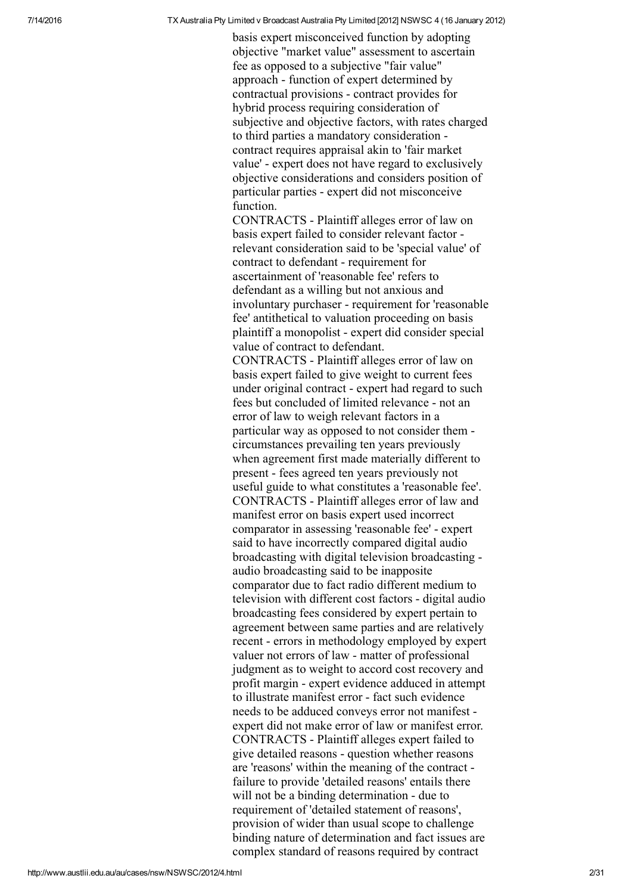basis expert misconceived function by adopting objective "market value" assessment to ascertain fee as opposed to a subjective "fair value" approach - function of expert determined by contractual provisions contract provides for hybrid process requiring consideration of subjective and objective factors, with rates charged to third parties a mandatory consideration contract requires appraisal akin to 'fair market value' expert does not have regard to exclusively objective considerations and considers position of particular parties expert did not misconceive function.

CONTRACTS Plaintiff alleges error of law on basis expert failed to consider relevant factor relevant consideration said to be 'special value' of contract to defendant - requirement for ascertainment of 'reasonable fee' refers to defendant as a willing but not anxious and involuntary purchaser - requirement for 'reasonable fee' antithetical to valuation proceeding on basis plaintiff a monopolist expert did consider special value of contract to defendant.

CONTRACTS Plaintiff alleges error of law on basis expert failed to give weight to current fees under original contract - expert had regard to such fees but concluded of limited relevance - not an error of law to weigh relevant factors in a particular way as opposed to not consider them circumstances prevailing ten years previously when agreement first made materially different to present - fees agreed ten years previously not useful guide to what constitutes a 'reasonable fee'. CONTRACTS Plaintiff alleges error of law and manifest error on basis expert used incorrect comparator in assessing 'reasonable fee' expert said to have incorrectly compared digital audio broadcasting with digital television broadcasting audio broadcasting said to be inapposite comparator due to fact radio different medium to television with different cost factors - digital audio broadcasting fees considered by expert pertain to agreement between same parties and are relatively recent - errors in methodology employed by expert valuer not errors of law - matter of professional judgment as to weight to accord cost recovery and profit margin - expert evidence adduced in attempt to illustrate manifest error - fact such evidence needs to be adduced conveys error not manifest expert did not make error of law or manifest error. CONTRACTS Plaintiff alleges expert failed to give detailed reasons - question whether reasons are 'reasons' within the meaning of the contract failure to provide 'detailed reasons' entails there will not be a binding determination - due to requirement of 'detailed statement of reasons', provision of wider than usual scope to challenge binding nature of determination and fact issues are complex standard of reasons required by contract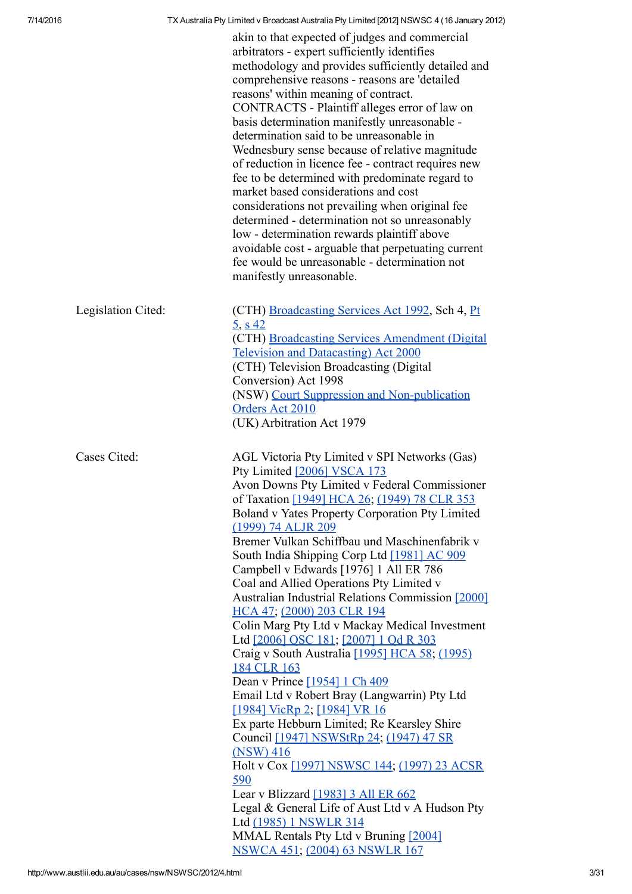|                    | akin to that expected of judges and commercial<br>arbitrators - expert sufficiently identifies<br>methodology and provides sufficiently detailed and<br>comprehensive reasons - reasons are 'detailed<br>reasons' within meaning of contract.<br>CONTRACTS - Plaintiff alleges error of law on<br>basis determination manifestly unreasonable -<br>determination said to be unreasonable in<br>Wednesbury sense because of relative magnitude<br>of reduction in licence fee - contract requires new<br>fee to be determined with predominate regard to<br>market based considerations and cost<br>considerations not prevailing when original fee<br>determined - determination not so unreasonably<br>low - determination rewards plaintiff above<br>avoidable cost - arguable that perpetuating current<br>fee would be unreasonable - determination not<br>manifestly unreasonable.                                                                                                                                                                                                                                                                                   |
|--------------------|---------------------------------------------------------------------------------------------------------------------------------------------------------------------------------------------------------------------------------------------------------------------------------------------------------------------------------------------------------------------------------------------------------------------------------------------------------------------------------------------------------------------------------------------------------------------------------------------------------------------------------------------------------------------------------------------------------------------------------------------------------------------------------------------------------------------------------------------------------------------------------------------------------------------------------------------------------------------------------------------------------------------------------------------------------------------------------------------------------------------------------------------------------------------------|
| Legislation Cited: | (CTH) Broadcasting Services Act 1992, Sch 4, Pt<br>$\frac{5}{9}$ , s 42<br>(CTH) Broadcasting Services Amendment (Digital<br><b>Television and Datacasting)</b> Act 2000<br>(CTH) Television Broadcasting (Digital<br>Conversion) Act 1998<br>(NSW) Court Suppression and Non-publication<br>Orders Act 2010<br>(UK) Arbitration Act 1979                                                                                                                                                                                                                                                                                                                                                                                                                                                                                                                                                                                                                                                                                                                                                                                                                                 |
| Cases Cited:       | AGL Victoria Pty Limited v SPI Networks (Gas)<br>Pty Limited [2006] VSCA 173<br>Avon Downs Pty Limited v Federal Commissioner<br>of Taxation [1949] HCA 26; (1949) 78 CLR 353<br>Boland v Yates Property Corporation Pty Limited<br>(1999) 74 ALJR 209<br>Bremer Vulkan Schiffbau und Maschinenfabrik v<br>South India Shipping Corp Ltd [1981] AC 909<br>Campbell v Edwards [1976] 1 All ER 786<br>Coal and Allied Operations Pty Limited v<br>Australian Industrial Relations Commission [2000]<br>HCA 47; (2000) 203 CLR 194<br>Colin Marg Pty Ltd v Mackay Medical Investment<br>Ltd [2006] QSC 181; [2007] 1 Qd R 303<br>Craig v South Australia [1995] HCA 58; (1995)<br>184 CLR 163<br>Dean v Prince [1954] 1 Ch 409<br>Email Ltd v Robert Bray (Langwarrin) Pty Ltd<br>[1984] VicRp 2; [1984] VR 16<br>Ex parte Hebburn Limited; Re Kearsley Shire<br>Council [1947] NSWStRp 24; (1947) 47 SR<br>$(NSW)$ 416<br>Holt v Cox [1997] NSWSC 144; (1997) 23 ACSR<br>590<br>Lear v Blizzard [1983] 3 All ER 662<br>Legal & General Life of Aust Ltd v A Hudson Pty<br>Ltd (1985) 1 NSWLR 314<br>MMAL Rentals Pty Ltd v Bruning [2004]<br>NSWCA 451; (2004) 63 NSWLR 167 |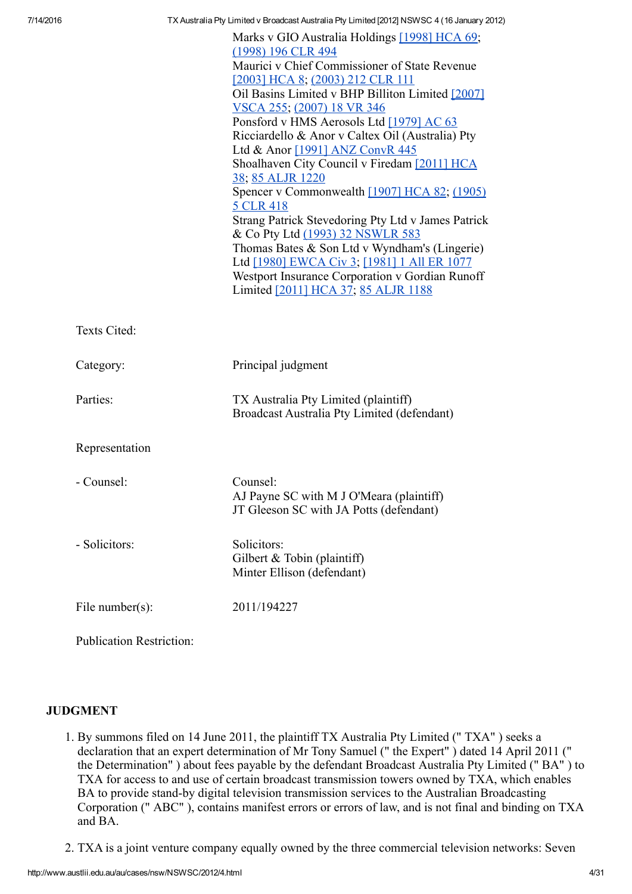|                 | Marks v GIO Australia Holdings [1998] HCA 69;      |
|-----------------|----------------------------------------------------|
|                 | (1998) 196 CLR 494                                 |
|                 | Maurici v Chief Commissioner of State Revenue      |
|                 | [2003] HCA 8; (2003) 212 CLR 111                   |
|                 | Oil Basins Limited v BHP Billiton Limited [2007]   |
|                 | VSCA 255; (2007) 18 VR 346                         |
|                 | Ponsford v HMS Aerosols Ltd [1979] AC 63           |
|                 | Ricciardello & Anor v Caltex Oil (Australia) Pty   |
|                 | Ltd & Anor [1991] ANZ ConvR 445                    |
|                 | Shoalhaven City Council v Firedam [2011] HCA       |
|                 | 38; 85 ALJR 1220                                   |
|                 | Spencer v Commonwealth [1907] HCA 82; (1905)       |
|                 | 5 CLR 418                                          |
|                 | Strang Patrick Stevedoring Pty Ltd v James Patrick |
|                 | & Co Pty Ltd (1993) 32 NSWLR 583                   |
|                 | Thomas Bates & Son Ltd v Wyndham's (Lingerie)      |
|                 | Ltd [1980] EWCA Civ 3; [1981] 1 All ER 1077        |
|                 | Westport Insurance Corporation v Gordian Runoff    |
|                 | Limited [2011] HCA 37; 85 ALJR 1188                |
|                 |                                                    |
|                 |                                                    |
| Texts Cited:    |                                                    |
|                 |                                                    |
| Category:       | Principal judgment                                 |
|                 |                                                    |
| Parties:        | TX Australia Pty Limited (plaintiff)               |
|                 | Broadcast Australia Pty Limited (defendant)        |
|                 |                                                    |
| Representation  |                                                    |
|                 |                                                    |
|                 |                                                    |
| - Counsel:      | Counsel:                                           |
|                 | AJ Payne SC with M J O'Meara (plaintiff)           |
|                 | JT Gleeson SC with JA Potts (defendant)            |
|                 |                                                    |
| - Solicitors:   | Solicitors:                                        |
|                 | Gilbert & Tobin (plaintiff)                        |
|                 | Minter Ellison (defendant)                         |
|                 |                                                    |
| File number(s): | 2011/194227                                        |
|                 |                                                    |
|                 |                                                    |

Publication Restriction:

#### JUDGMENT

- 1. By summons filed on 14 June 2011, the plaintiff TX Australia Pty Limited (" TXA" ) seeks a declaration that an expert determination of Mr Tony Samuel (" the Expert" ) dated 14 April 2011 (" the Determination" ) about fees payable by the defendant Broadcast Australia Pty Limited (" BA" ) to TXA for access to and use of certain broadcast transmission towers owned by TXA, which enables BA to provide stand-by digital television transmission services to the Australian Broadcasting Corporation (" ABC" ), contains manifest errors or errors of law, and is not final and binding on TXA and BA.
- 2. TXA is a joint venture company equally owned by the three commercial television networks: Seven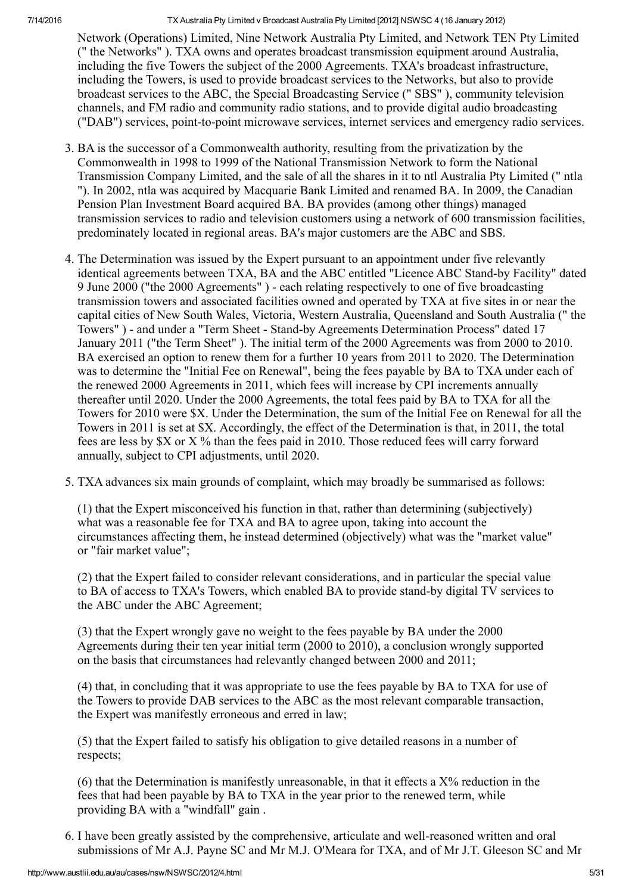Network (Operations) Limited, Nine Network Australia Pty Limited, and Network TEN Pty Limited (" the Networks" ). TXA owns and operates broadcast transmission equipment around Australia, including the five Towers the subject of the 2000 Agreements. TXA's broadcast infrastructure, including the Towers, is used to provide broadcast services to the Networks, but also to provide broadcast services to the ABC, the Special Broadcasting Service (" SBS" ), community television channels, and FM radio and community radio stations, and to provide digital audio broadcasting ("DAB") services, point-to-point microwave services, internet services and emergency radio services.

- 3. BA is the successor of a Commonwealth authority, resulting from the privatization by the Commonwealth in 1998 to 1999 of the National Transmission Network to form the National Transmission Company Limited, and the sale of all the shares in it to ntl Australia Pty Limited (" ntla "). In 2002, ntla was acquired by Macquarie Bank Limited and renamed BA. In 2009, the Canadian Pension Plan Investment Board acquired BA. BA provides (among other things) managed transmission services to radio and television customers using a network of 600 transmission facilities, predominately located in regional areas. BA's major customers are the ABC and SBS.
- 4. The Determination was issued by the Expert pursuant to an appointment under five relevantly identical agreements between TXA, BA and the ABC entitled "Licence ABC Stand-by Facility" dated 9 June 2000 ("the 2000 Agreements" ) each relating respectively to one of five broadcasting transmission towers and associated facilities owned and operated by TXA at five sites in or near the capital cities of New South Wales, Victoria, Western Australia, Queensland and South Australia (" the Towers") - and under a "Term Sheet - Stand-by Agreements Determination Process" dated 17 January 2011 ("the Term Sheet" ). The initial term of the 2000 Agreements was from 2000 to 2010. BA exercised an option to renew them for a further 10 years from 2011 to 2020. The Determination was to determine the "Initial Fee on Renewal", being the fees payable by BA to TXA under each of the renewed 2000 Agreements in 2011, which fees will increase by CPI increments annually thereafter until 2020. Under the 2000 Agreements, the total fees paid by BA to TXA for all the Towers for 2010 were \$X. Under the Determination, the sum of the Initial Fee on Renewal for all the Towers in 2011 is set at \$X. Accordingly, the effect of the Determination is that, in 2011, the total fees are less by \$X or X % than the fees paid in 2010. Those reduced fees will carry forward annually, subject to CPI adjustments, until 2020.
- 5. TXA advances six main grounds of complaint, which may broadly be summarised as follows:

(1) that the Expert misconceived his function in that, rather than determining (subjectively) what was a reasonable fee for TXA and BA to agree upon, taking into account the circumstances affecting them, he instead determined (objectively) what was the "market value" or "fair market value";

(2) that the Expert failed to consider relevant considerations, and in particular the special value to BA of access to TXA's Towers, which enabled BA to provide stand-by digital TV services to the ABC under the ABC Agreement;

(3) that the Expert wrongly gave no weight to the fees payable by BA under the 2000 Agreements during their ten year initial term (2000 to 2010), a conclusion wrongly supported on the basis that circumstances had relevantly changed between 2000 and 2011;

(4) that, in concluding that it was appropriate to use the fees payable by BA to TXA for use of the Towers to provide DAB services to the ABC as the most relevant comparable transaction, the Expert was manifestly erroneous and erred in law;

(5) that the Expert failed to satisfy his obligation to give detailed reasons in a number of respects;

(6) that the Determination is manifestly unreasonable, in that it effects a X% reduction in the fees that had been payable by BA to TXA in the year prior to the renewed term, while providing BA with a "windfall" gain .

6. I have been greatly assisted by the comprehensive, articulate and well-reasoned written and oral submissions of Mr A.J. Payne SC and Mr M.J. O'Meara for TXA, and of Mr J.T. Gleeson SC and Mr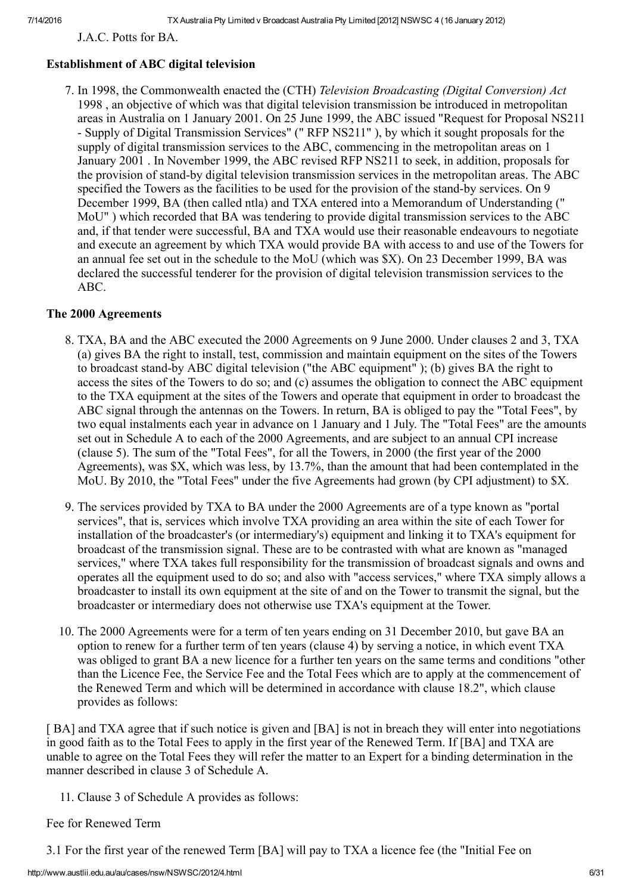J.A.C. Potts for BA.

## Establishment of ABC digital television

7. In 1998, the Commonwealth enacted the (CTH) Television Broadcasting (Digital Conversion) Act 1998 , an objective of which was that digital television transmission be introduced in metropolitan areas in Australia on 1 January 2001. On 25 June 1999, the ABC issued "Request for Proposal NS211 Supply of Digital Transmission Services" (" RFP NS211" ), by which it sought proposals for the supply of digital transmission services to the ABC, commencing in the metropolitan areas on 1 January 2001 . In November 1999, the ABC revised RFP NS211 to seek, in addition, proposals for the provision of stand-by digital television transmission services in the metropolitan areas. The ABC specified the Towers as the facilities to be used for the provision of the stand-by services. On 9 December 1999, BA (then called ntla) and TXA entered into a Memorandum of Understanding (" MoU" ) which recorded that BA was tendering to provide digital transmission services to the ABC and, if that tender were successful, BA and TXA would use their reasonable endeavours to negotiate and execute an agreement by which TXA would provide BA with access to and use of the Towers for an annual fee set out in the schedule to the MoU (which was \$X). On 23 December 1999, BA was declared the successful tenderer for the provision of digital television transmission services to the ABC.

#### The 2000 Agreements

- 8. TXA, BA and the ABC executed the 2000 Agreements on 9 June 2000. Under clauses 2 and 3, TXA (a) gives BA the right to install, test, commission and maintain equipment on the sites of the Towers to broadcast stand-by ABC digital television ("the ABC equipment"); (b) gives BA the right to access the sites of the Towers to do so; and (c) assumes the obligation to connect the ABC equipment to the TXA equipment at the sites of the Towers and operate that equipment in order to broadcast the ABC signal through the antennas on the Towers. In return, BA is obliged to pay the "Total Fees", by two equal instalments each year in advance on 1 January and 1 July. The "Total Fees" are the amounts set out in Schedule A to each of the 2000 Agreements, and are subject to an annual CPI increase (clause 5). The sum of the "Total Fees", for all the Towers, in 2000 (the first year of the 2000 Agreements), was \$X, which was less, by 13.7%, than the amount that had been contemplated in the MoU. By 2010, the "Total Fees" under the five Agreements had grown (by CPI adjustment) to \$X.
- 9. The services provided by TXA to BA under the 2000 Agreements are of a type known as "portal services", that is, services which involve TXA providing an area within the site of each Tower for installation of the broadcaster's (or intermediary's) equipment and linking it to TXA's equipment for broadcast of the transmission signal. These are to be contrasted with what are known as "managed services," where TXA takes full responsibility for the transmission of broadcast signals and owns and operates all the equipment used to do so; and also with "access services," where TXA simply allows a broadcaster to install its own equipment at the site of and on the Tower to transmit the signal, but the broadcaster or intermediary does not otherwise use TXA's equipment at the Tower.
- 10. The 2000 Agreements were for a term of ten years ending on 31 December 2010, but gave BA an option to renew for a further term of ten years (clause 4) by serving a notice, in which event TXA was obliged to grant BA a new licence for a further ten years on the same terms and conditions "other than the Licence Fee, the Service Fee and the Total Fees which are to apply at the commencement of the Renewed Term and which will be determined in accordance with clause 18.2", which clause provides as follows:

[BA] and TXA agree that if such notice is given and [BA] is not in breach they will enter into negotiations in good faith as to the Total Fees to apply in the first year of the Renewed Term. If [BA] and TXA are unable to agree on the Total Fees they will refer the matter to an Expert for a binding determination in the manner described in clause 3 of Schedule A.

11. Clause 3 of Schedule A provides as follows:

#### Fee for Renewed Term

3.1 For the first year of the renewed Term [BA] will pay to TXA a licence fee (the "Initial Fee on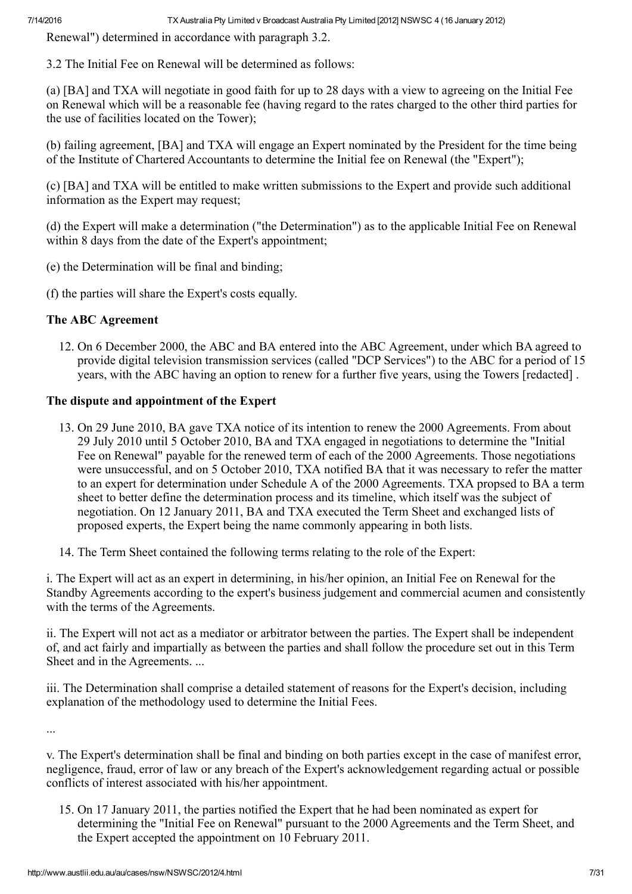Renewal") determined in accordance with paragraph 3.2.

3.2 The Initial Fee on Renewal will be determined as follows:

(a) [BA] and TXA will negotiate in good faith for up to 28 days with a view to agreeing on the Initial Fee on Renewal which will be a reasonable fee (having regard to the rates charged to the other third parties for the use of facilities located on the Tower);

(b) failing agreement, [BA] and TXA will engage an Expert nominated by the President for the time being of the Institute of Chartered Accountants to determine the Initial fee on Renewal (the "Expert");

(c) [BA] and TXA will be entitled to make written submissions to the Expert and provide such additional information as the Expert may request;

(d) the Expert will make a determination ("the Determination") as to the applicable Initial Fee on Renewal within 8 days from the date of the Expert's appointment;

- (e) the Determination will be final and binding;
- (f) the parties will share the Expert's costs equally.

## The ABC Agreement

12. On 6 December 2000, the ABC and BA entered into the ABC Agreement, under which BA agreed to provide digital television transmission services (called "DCP Services") to the ABC for a period of 15 years, with the ABC having an option to renew for a further five years, using the Towers [redacted] .

## The dispute and appointment of the Expert

- 13. On 29 June 2010, BA gave TXA notice of its intention to renew the 2000 Agreements. From about 29 July 2010 until 5 October 2010, BA and TXA engaged in negotiations to determine the "Initial Fee on Renewal" payable for the renewed term of each of the 2000 Agreements. Those negotiations were unsuccessful, and on 5 October 2010, TXA notified BA that it was necessary to refer the matter to an expert for determination under Schedule A of the 2000 Agreements. TXA propsed to BA a term sheet to better define the determination process and its timeline, which itself was the subject of negotiation. On 12 January 2011, BA and TXA executed the Term Sheet and exchanged lists of proposed experts, the Expert being the name commonly appearing in both lists.
- 14. The Term Sheet contained the following terms relating to the role of the Expert:

i. The Expert will act as an expert in determining, in his/her opinion, an Initial Fee on Renewal for the Standby Agreements according to the expert's business judgement and commercial acumen and consistently with the terms of the Agreements.

ii. The Expert will not act as a mediator or arbitrator between the parties. The Expert shall be independent of, and act fairly and impartially as between the parties and shall follow the procedure set out in this Term Sheet and in the Agreements. ...

iii. The Determination shall comprise a detailed statement of reasons for the Expert's decision, including explanation of the methodology used to determine the Initial Fees.

...

v. The Expert's determination shall be final and binding on both parties except in the case of manifest error, negligence, fraud, error of law or any breach of the Expert's acknowledgement regarding actual or possible conflicts of interest associated with his/her appointment.

15. On 17 January 2011, the parties notified the Expert that he had been nominated as expert for determining the "Initial Fee on Renewal" pursuant to the 2000 Agreements and the Term Sheet, and the Expert accepted the appointment on 10 February 2011.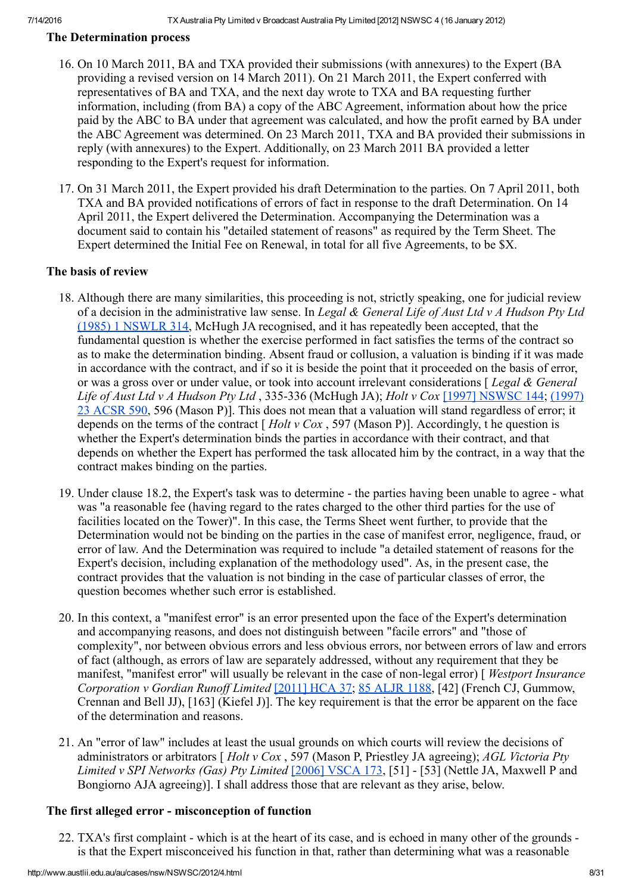#### The Determination process

- 16. On 10 March 2011, BA and TXA provided their submissions (with annexures) to the Expert (BA providing a revised version on 14 March 2011). On 21 March 2011, the Expert conferred with representatives of BA and TXA, and the next day wrote to TXA and BA requesting further information, including (from BA) a copy of the ABC Agreement, information about how the price paid by the ABC to BA under that agreement was calculated, and how the profit earned by BA under the ABC Agreement was determined. On 23 March 2011, TXA and BA provided their submissions in reply (with annexures) to the Expert. Additionally, on 23 March 2011 BA provided a letter responding to the Expert's request for information.
- 17. On 31 March 2011, the Expert provided his draft Determination to the parties. On 7 April 2011, both TXA and BA provided notifications of errors of fact in response to the draft Determination. On 14 April 2011, the Expert delivered the Determination. Accompanying the Determination was a document said to contain his "detailed statement of reasons" as required by the Term Sheet. The Expert determined the Initial Fee on Renewal, in total for all five Agreements, to be \$X.

#### The basis of review

- 18. Although there are many similarities, this proceeding is not, strictly speaking, one for judicial review of a decision in the administrative law sense. In Legal & General Life of Aust Ltd v A Hudson Pty Ltd (1985) 1 [NSWLR](http://www.austlii.edu.au/cgi-bin/LawCite?cit=%281985%29%201%20NSWLR%20314) 314, McHugh JA recognised, and it has repeatedly been accepted, that the fundamental question is whether the exercise performed in fact satisfies the terms of the contract so as to make the determination binding. Absent fraud or collusion, a valuation is binding if it was made in accordance with the contract, and if so it is beside the point that it proceeded on the basis of error, or was a gross over or under value, or took into account irrelevant considerations [Legal & General Life of Aust Ltd v A Hudson Pty Ltd , 335-336 (McHugh JA); Holt v Cox [1997] [NSWSC](http://www.austlii.edu.au/au/cases/nsw/NSWSC/1997/144.html) 144; (1997) 23 ACSR 590, 596 (Mason P)]. This does not mean that a valuation will stand [regardless](http://www.austlii.edu.au/cgi-bin/LawCite?cit=%281997%29%2023%20ACSR%20590) of error; it depends on the terms of the contract  $[ Holt v Cox, 597 (Mason P) ]$ . Accordingly, the question is whether the Expert's determination binds the parties in accordance with their contract, and that depends on whether the Expert has performed the task allocated him by the contract, in a way that the contract makes binding on the parties.
- 19. Under clause 18.2, the Expert's task was to determine the parties having been unable to agree what was "a reasonable fee (having regard to the rates charged to the other third parties for the use of facilities located on the Tower)". In this case, the Terms Sheet went further, to provide that the Determination would not be binding on the parties in the case of manifest error, negligence, fraud, or error of law. And the Determination was required to include "a detailed statement of reasons for the Expert's decision, including explanation of the methodology used". As, in the present case, the contract provides that the valuation is not binding in the case of particular classes of error, the question becomes whether such error is established.
- 20. In this context, a "manifest error" is an error presented upon the face of the Expert's determination and accompanying reasons, and does not distinguish between "facile errors" and "those of complexity", nor between obvious errors and less obvious errors, nor between errors of law and errors of fact (although, as errors of law are separately addressed, without any requirement that they be manifest, "manifest error" will usually be relevant in the case of non-legal error) [*Westport Insurance* Corporation v Gordian Runoff Limited [\[2011\]](http://www.austlii.edu.au/au/cases/cth/HCA/2011/37.html) HCA 37; 85 [ALJR](http://www.austlii.edu.au/cgi-bin/LawCite?cit=85%20ALJR%201188) 1188, [42] (French CJ, Gummow, Crennan and Bell JJ), [163] (Kiefel J)]. The key requirement is that the error be apparent on the face of the determination and reasons.
- 21. An "error of law" includes at least the usual grounds on which courts will review the decisions of administrators or arbitrators  $[ Holt v Cox, 597 (Mason P, Priestley JA agreeing); AGL Victoria Pty]$ Limited v SPI Networks (Gas) Pty Limited [2006] [VSCA](http://www.austlii.edu.au/au/cases/vic/VSCA/2006/173.html) 173, [51] - [53] (Nettle JA, Maxwell P and Bongiorno AJA agreeing)]. I shall address those that are relevant as they arise, below.

## The first alleged error - misconception of function

22. TXA's first complaint - which is at the heart of its case, and is echoed in many other of the grounds is that the Expert misconceived his function in that, rather than determining what was a reasonable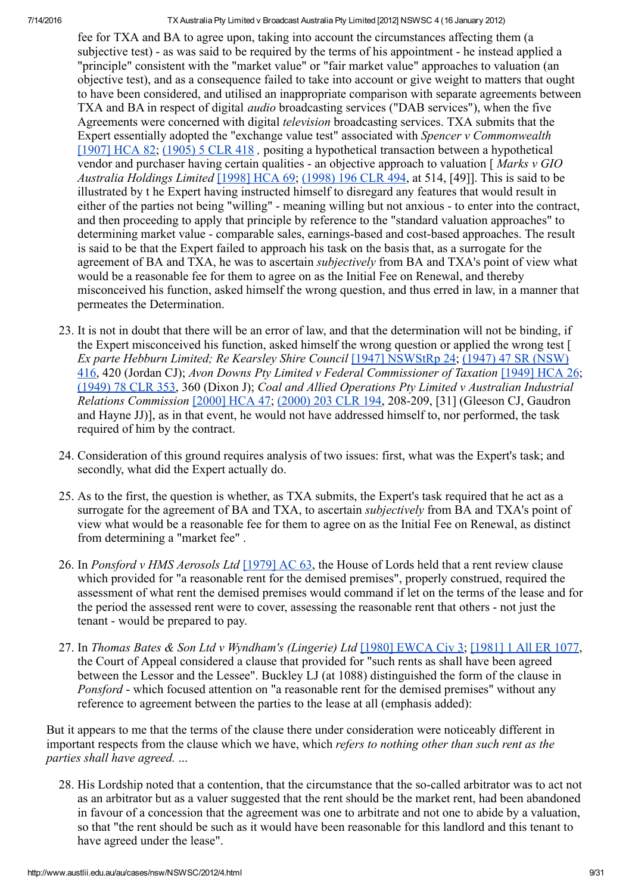fee for TXA and BA to agree upon, taking into account the circumstances affecting them (a subjective test) - as was said to be required by the terms of his appointment - he instead applied a "principle" consistent with the "market value" or "fair market value" approaches to valuation (an objective test), and as a consequence failed to take into account or give weight to matters that ought to have been considered, and utilised an inappropriate comparison with separate agreements between TXA and BA in respect of digital *audio* broadcasting services ("DAB services"), when the five Agreements were concerned with digital *television* broadcasting services. TXA submits that the Expert essentially adopted the "exchange value test" associated with *Spencer v Commonwealth* [\[1907\]](http://www.austlii.edu.au/au/cases/cth/HCA/1907/82.html) HCA 82; [\(1905\)](http://www.austlii.edu.au/cgi-bin/LawCite?cit=%281905%29%205%20CLR%20418) 5 CLR 418 , positing a hypothetical transaction between a hypothetical vendor and purchaser having certain qualities - an objective approach to valuation  $\int Marks v GIO$ Australia Holdings Limited [\[1998\]](http://www.austlii.edu.au/au/cases/cth/HCA/1998/69.html) HCA 69; [\(1998\)](http://www.austlii.edu.au/cgi-bin/LawCite?cit=%281998%29%20196%20CLR%20494) 196 CLR 494, at 514, [49]]. This is said to be illustrated by t he Expert having instructed himself to disregard any features that would result in either of the parties not being "willing" - meaning willing but not anxious - to enter into the contract, and then proceeding to apply that principle by reference to the "standard valuation approaches" to determining market value - comparable sales, earnings-based and cost-based approaches. The result is said to be that the Expert failed to approach his task on the basis that, as a surrogate for the agreement of BA and TXA, he was to ascertain *subjectively* from BA and TXA's point of view what would be a reasonable fee for them to agree on as the Initial Fee on Renewal, and thereby misconceived his function, asked himself the wrong question, and thus erred in law, in a manner that permeates the Determination.

- 23. It is not in doubt that there will be an error of law, and that the determination will not be binding, if the Expert misconceived his function, asked himself the wrong question or applied the wrong test [ Ex parte Hebburn Limited; Re Kearsley Shire Council [1947] [NSWStRp](http://www.austlii.edu.au/au/cases/nsw/NSWStRp/1947/24.html) 24; (1947) 47 SR (NSW) 416, 420 (Jordan CJ); Avon Downs Pty Limited v Federal [Commissioner](http://www.austlii.edu.au/cgi-bin/LawCite?cit=%281947%29%2047%20SR%20%28NSW%29%20416) of Taxation [\[1949\]](http://www.austlii.edu.au/au/cases/cth/HCA/1949/26.html) HCA 26; [\(1949\)](http://www.austlii.edu.au/cgi-bin/LawCite?cit=%281949%29%2078%20CLR%20353) 78 CLR 353, 360 (Dixon J); Coal and Allied Operations Pty Limited v Australian Industrial Relations Commission [\[2000\]](http://www.austlii.edu.au/au/cases/cth/HCA/2000/47.html) HCA 47; [\(2000\)](http://www.austlii.edu.au/cgi-bin/LawCite?cit=%282000%29%20203%20CLR%20194) 203 CLR 194, 208-209, [31] (Gleeson CJ, Gaudron and Hayne JJ)], as in that event, he would not have addressed himself to, nor performed, the task required of him by the contract.
- 24. Consideration of this ground requires analysis of two issues: first, what was the Expert's task; and secondly, what did the Expert actually do.
- 25. As to the first, the question is whether, as TXA submits, the Expert's task required that he act as a surrogate for the agreement of BA and TXA, to ascertain *subjectively* from BA and TXA's point of view what would be a reasonable fee for them to agree on as the Initial Fee on Renewal, as distinct from determining a "market fee" .
- 26. In Ponsford v HMS Aerosols Ltd [\[1979\]](http://www.austlii.edu.au/cgi-bin/LawCite?cit=%5b1979%5d%20AC%2063) AC 63, the House of Lords held that a rent review clause which provided for "a reasonable rent for the demised premises", properly construed, required the assessment of what rent the demised premises would command if let on the terms of the lease and for the period the assessed rent were to cover, assessing the reasonable rent that others - not just the tenant - would be prepared to pay.
- 27. In Thomas Bates & Son Ltd v Wyndham's (Lingerie) Ltd [1980] [EWCA](http://www.bailii.org/ew/cases/EWCA/Civ/1980/3.html) Civ 3; [\[1981\]](http://www.austlii.edu.au/cgi-bin/LawCite?cit=%5b1981%5d%201%20All%20ER%201077) 1 All ER 1077, the Court of Appeal considered a clause that provided for "such rents as shall have been agreed between the Lessor and the Lessee". Buckley LJ (at 1088) distinguished the form of the clause in Ponsford - which focused attention on "a reasonable rent for the demised premises" without any reference to agreement between the parties to the lease at all (emphasis added):

But it appears to me that the terms of the clause there under consideration were noticeably different in important respects from the clause which we have, which refers to nothing other than such rent as the parties shall have agreed. ...

28. His Lordship noted that a contention, that the circumstance that the so-called arbitrator was to act not as an arbitrator but as a valuer suggested that the rent should be the market rent, had been abandoned in favour of a concession that the agreement was one to arbitrate and not one to abide by a valuation, so that "the rent should be such as it would have been reasonable for this landlord and this tenant to have agreed under the lease".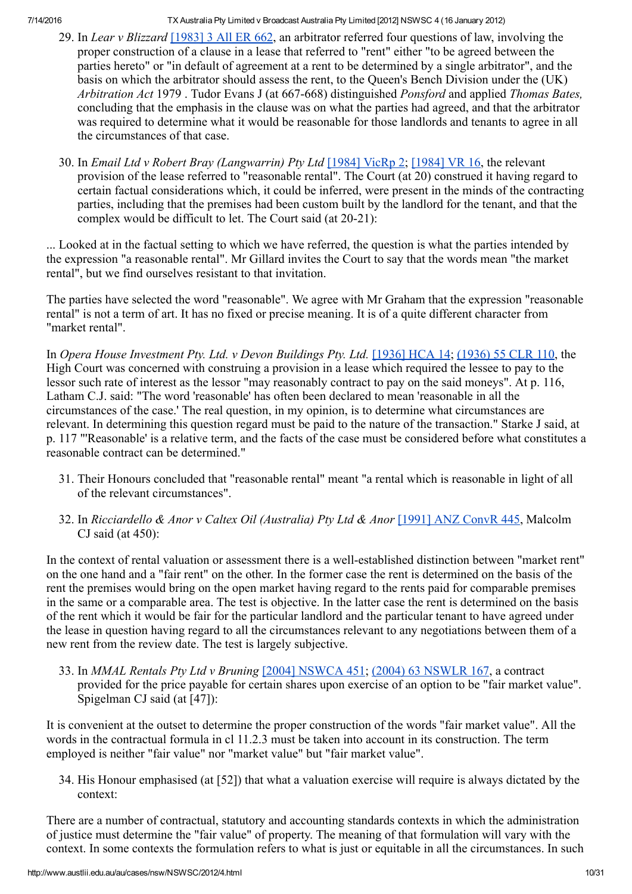- 29. In Lear v Blizzard [\[1983\]](http://www.austlii.edu.au/cgi-bin/LawCite?cit=%5b1983%5d%203%20All%20ER%20662) 3 All ER 662, an arbitrator referred four questions of law, involving the proper construction of a clause in a lease that referred to "rent" either "to be agreed between the parties hereto" or "in default of agreement at a rent to be determined by a single arbitrator", and the basis on which the arbitrator should assess the rent, to the Queen's Bench Division under the (UK) Arbitration Act 1979 . Tudor Evans J (at 667-668) distinguished *Ponsford* and applied *Thomas Bates*, concluding that the emphasis in the clause was on what the parties had agreed, and that the arbitrator was required to determine what it would be reasonable for those landlords and tenants to agree in all the circumstances of that case.
- 30. In *Email Ltd v Robert Bray (Langwarrin) Pty Ltd* [\[1984\]](http://www.austlii.edu.au/cgi-bin/LawCite?cit=%5b1984%5d%20VR%2016) VicRp 2; [1984] VR 16, the relevant provision of the lease referred to "reasonable rental". The Court (at 20) construed it having regard to certain factual considerations which, it could be inferred, were present in the minds of the contracting parties, including that the premises had been custom built by the landlord for the tenant, and that the complex would be difficult to let. The Court said (at  $20-21$ ):

... Looked at in the factual setting to which we have referred, the question is what the parties intended by the expression "a reasonable rental". Mr Gillard invites the Court to say that the words mean "the market rental", but we find ourselves resistant to that invitation.

The parties have selected the word "reasonable". We agree with Mr Graham that the expression "reasonable rental" is not a term of art. It has no fixed or precise meaning. It is of a quite different character from "market rental".

In Opera House Investment Pty. Ltd. v Devon Buildings Pty. Ltd. [\[1936\]](http://www.austlii.edu.au/au/cases/cth/HCA/1936/14.html) HCA 14; [\(1936\)](http://www.austlii.edu.au/cgi-bin/LawCite?cit=%281936%29%2055%20CLR%20110) 55 CLR 110, the High Court was concerned with construing a provision in a lease which required the lessee to pay to the lessor such rate of interest as the lessor "may reasonably contract to pay on the said moneys". At p. 116, Latham C.J. said: "The word 'reasonable' has often been declared to mean 'reasonable in all the circumstances of the case.' The real question, in my opinion, is to determine what circumstances are relevant. In determining this question regard must be paid to the nature of the transaction." Starke J said, at p. 117 "'Reasonable' is a relative term, and the facts of the case must be considered before what constitutes a reasonable contract can be determined."

- 31. Their Honours concluded that "reasonable rental" meant "a rental which is reasonable in light of all of the relevant circumstances".
- 32. In Ricciardello & Anor v Caltex Oil (Australia) Pty Ltd & Anor [1991] ANZ [ConvR](http://www.austlii.edu.au/cgi-bin/LawCite?cit=%5b1991%5d%20ANZ%20ConvR%20445) 445, Malcolm CJ said (at  $450$ ):

In the context of rental valuation or assessment there is a wellestablished distinction between "market rent" on the one hand and a "fair rent" on the other. In the former case the rent is determined on the basis of the rent the premises would bring on the open market having regard to the rents paid for comparable premises in the same or a comparable area. The test is objective. In the latter case the rent is determined on the basis of the rent which it would be fair for the particular landlord and the particular tenant to have agreed under the lease in question having regard to all the circumstances relevant to any negotiations between them of a new rent from the review date. The test is largely subjective.

33. In MMAL Rentals Pty Ltd v Bruning [2004] [NSWCA](http://www.austlii.edu.au/au/cases/nsw/NSWCA/2004/451.html) 451; (2004) 63 [NSWLR](http://www.austlii.edu.au/cgi-bin/LawCite?cit=%282004%29%2063%20NSWLR%20167) 167, a contract provided for the price payable for certain shares upon exercise of an option to be "fair market value". Spigelman CJ said (at [47]):

It is convenient at the outset to determine the proper construction of the words "fair market value". All the words in the contractual formula in cl 11.2.3 must be taken into account in its construction. The term employed is neither "fair value" nor "market value" but "fair market value".

34. His Honour emphasised (at [52]) that what a valuation exercise will require is always dictated by the context:

There are a number of contractual, statutory and accounting standards contexts in which the administration of justice must determine the "fair value" of property. The meaning of that formulation will vary with the context. In some contexts the formulation refers to what is just or equitable in all the circumstances. In such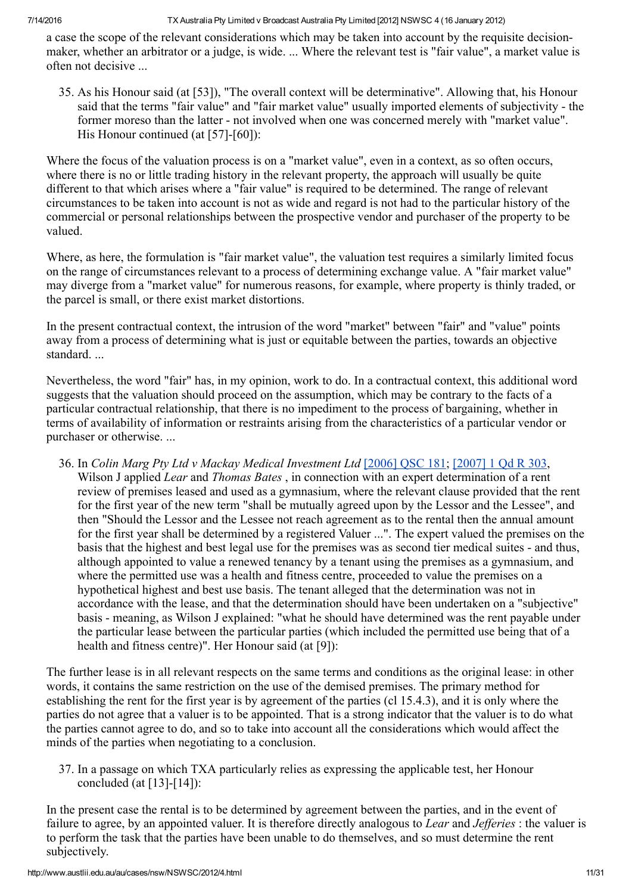a case the scope of the relevant considerations which may be taken into account by the requisite decisionmaker, whether an arbitrator or a judge, is wide. ... Where the relevant test is "fair value", a market value is often not decisive ...

35. As his Honour said (at [53]), "The overall context will be determinative". Allowing that, his Honour said that the terms "fair value" and "fair market value" usually imported elements of subjectivity - the former moreso than the latter - not involved when one was concerned merely with "market value". His Honour continued (at  $[57]-[60]$ ):

Where the focus of the valuation process is on a "market value", even in a context, as so often occurs, where there is no or little trading history in the relevant property, the approach will usually be quite different to that which arises where a "fair value" is required to be determined. The range of relevant circumstances to be taken into account is not as wide and regard is not had to the particular history of the commercial or personal relationships between the prospective vendor and purchaser of the property to be valued.

Where, as here, the formulation is "fair market value", the valuation test requires a similarly limited focus on the range of circumstances relevant to a process of determining exchange value. A "fair market value" may diverge from a "market value" for numerous reasons, for example, where property is thinly traded, or the parcel is small, or there exist market distortions.

In the present contractual context, the intrusion of the word "market" between "fair" and "value" points away from a process of determining what is just or equitable between the parties, towards an objective standard. ...

Nevertheless, the word "fair" has, in my opinion, work to do. In a contractual context, this additional word suggests that the valuation should proceed on the assumption, which may be contrary to the facts of a particular contractual relationship, that there is no impediment to the process of bargaining, whether in terms of availability of information or restraints arising from the characteristics of a particular vendor or purchaser or otherwise. ...

36. In Colin Marg Pty Ltd v Mackay Medical Investment Ltd [\[2006\]](http://www.austlii.edu.au/au/cases/qld/QSC/2006/181.html) QSC 181; [\[2007\]](http://www.austlii.edu.au/cgi-bin/LawCite?cit=%5b2007%5d%201%20Qd%20R%20303) 1 Qd R 303, Wilson J applied Lear and Thomas Bates, in connection with an expert determination of a rent review of premises leased and used as a gymnasium, where the relevant clause provided that the rent for the first year of the new term "shall be mutually agreed upon by the Lessor and the Lessee", and then "Should the Lessor and the Lessee not reach agreement as to the rental then the annual amount for the first year shall be determined by a registered Valuer ...". The expert valued the premises on the basis that the highest and best legal use for the premises was as second tier medical suites - and thus, although appointed to value a renewed tenancy by a tenant using the premises as a gymnasium, and where the permitted use was a health and fitness centre, proceeded to value the premises on a hypothetical highest and best use basis. The tenant alleged that the determination was not in accordance with the lease, and that the determination should have been undertaken on a "subjective" basis meaning, as Wilson J explained: "what he should have determined was the rent payable under the particular lease between the particular parties (which included the permitted use being that of a health and fitness centre)". Her Honour said (at [9]):

The further lease is in all relevant respects on the same terms and conditions as the original lease: in other words, it contains the same restriction on the use of the demised premises. The primary method for establishing the rent for the first year is by agreement of the parties (cl 15.4.3), and it is only where the parties do not agree that a valuer is to be appointed. That is a strong indicator that the valuer is to do what the parties cannot agree to do, and so to take into account all the considerations which would affect the minds of the parties when negotiating to a conclusion.

37. In a passage on which TXA particularly relies as expressing the applicable test, her Honour concluded (at  $[13]-[14]$ ):

In the present case the rental is to be determined by agreement between the parties, and in the event of failure to agree, by an appointed valuer. It is therefore directly analogous to Lear and Jefferies : the valuer is to perform the task that the parties have been unable to do themselves, and so must determine the rent subjectively.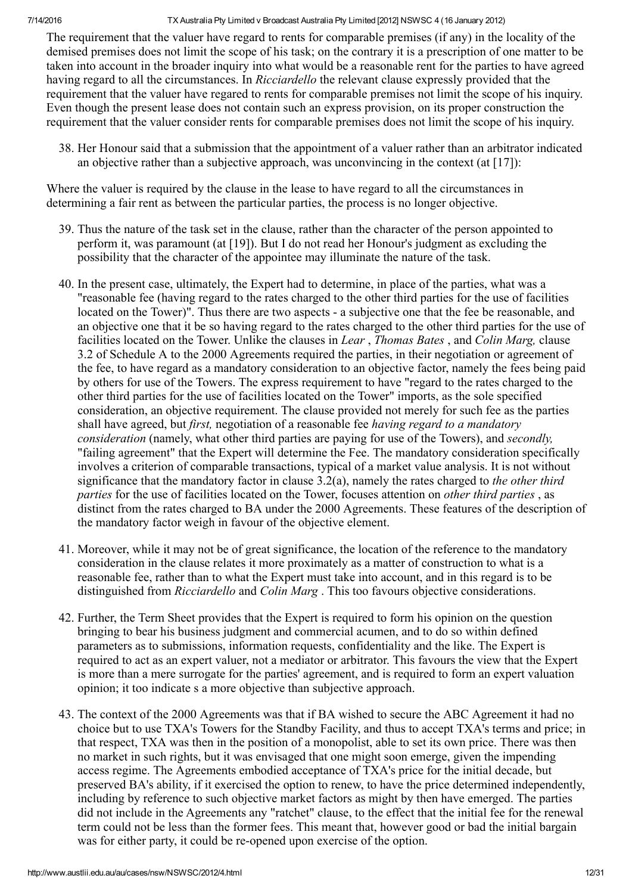The requirement that the valuer have regard to rents for comparable premises (if any) in the locality of the demised premises does not limit the scope of his task; on the contrary it is a prescription of one matter to be taken into account in the broader inquiry into what would be a reasonable rent for the parties to have agreed having regard to all the circumstances. In Ricciardello the relevant clause expressly provided that the requirement that the valuer have regared to rents for comparable premises not limit the scope of his inquiry. Even though the present lease does not contain such an express provision, on its proper construction the requirement that the valuer consider rents for comparable premises does not limit the scope of his inquiry.

38. Her Honour said that a submission that the appointment of a valuer rather than an arbitrator indicated an objective rather than a subjective approach, was unconvincing in the context (at  $[17]$ ):

Where the valuer is required by the clause in the lease to have regard to all the circumstances in determining a fair rent as between the particular parties, the process is no longer objective.

- 39. Thus the nature of the task set in the clause, rather than the character of the person appointed to perform it, was paramount (at [19]). But I do not read her Honour's judgment as excluding the possibility that the character of the appointee may illuminate the nature of the task.
- 40. In the present case, ultimately, the Expert had to determine, in place of the parties, what was a "reasonable fee (having regard to the rates charged to the other third parties for the use of facilities located on the Tower)". Thus there are two aspects - a subjective one that the fee be reasonable, and an objective one that it be so having regard to the rates charged to the other third parties for the use of facilities located on the Tower. Unlike the clauses in Lear, Thomas Bates, and Colin Marg, clause 3.2 of Schedule A to the 2000 Agreements required the parties, in their negotiation or agreement of the fee, to have regard as a mandatory consideration to an objective factor, namely the fees being paid by others for use of the Towers. The express requirement to have "regard to the rates charged to the other third parties for the use of facilities located on the Tower" imports, as the sole specified consideration, an objective requirement. The clause provided not merely for such fee as the parties shall have agreed, but *first*, negotiation of a reasonable fee *having regard to a mandatory* consideration (namely, what other third parties are paying for use of the Towers), and secondly, "failing agreement" that the Expert will determine the Fee. The mandatory consideration specifically involves a criterion of comparable transactions, typical of a market value analysis. It is not without significance that the mandatory factor in clause  $3.2(a)$ , namely the rates charged to the other third parties for the use of facilities located on the Tower, focuses attention on other third parties , as distinct from the rates charged to BA under the 2000 Agreements. These features of the description of the mandatory factor weigh in favour of the objective element.
- 41. Moreover, while it may not be of great significance, the location of the reference to the mandatory consideration in the clause relates it more proximately as a matter of construction to what is a reasonable fee, rather than to what the Expert must take into account, and in this regard is to be distinguished from *Ricciardello* and *Colin Marg*. This too favours objective considerations.
- 42. Further, the Term Sheet provides that the Expert is required to form his opinion on the question bringing to bear his business judgment and commercial acumen, and to do so within defined parameters as to submissions, information requests, confidentiality and the like. The Expert is required to act as an expert valuer, not a mediator or arbitrator. This favours the view that the Expert is more than a mere surrogate for the parties' agreement, and is required to form an expert valuation opinion; it too indicate s a more objective than subjective approach.
- 43. The context of the 2000 Agreements was that if BA wished to secure the ABC Agreement it had no choice but to use TXA's Towers for the Standby Facility, and thus to accept TXA's terms and price; in that respect, TXA was then in the position of a monopolist, able to set its own price. There was then no market in such rights, but it was envisaged that one might soon emerge, given the impending access regime. The Agreements embodied acceptance of TXA's price for the initial decade, but preserved BA's ability, if it exercised the option to renew, to have the price determined independently, including by reference to such objective market factors as might by then have emerged. The parties did not include in the Agreements any "ratchet" clause, to the effect that the initial fee for the renewal term could not be less than the former fees. This meant that, however good or bad the initial bargain was for either party, it could be re-opened upon exercise of the option.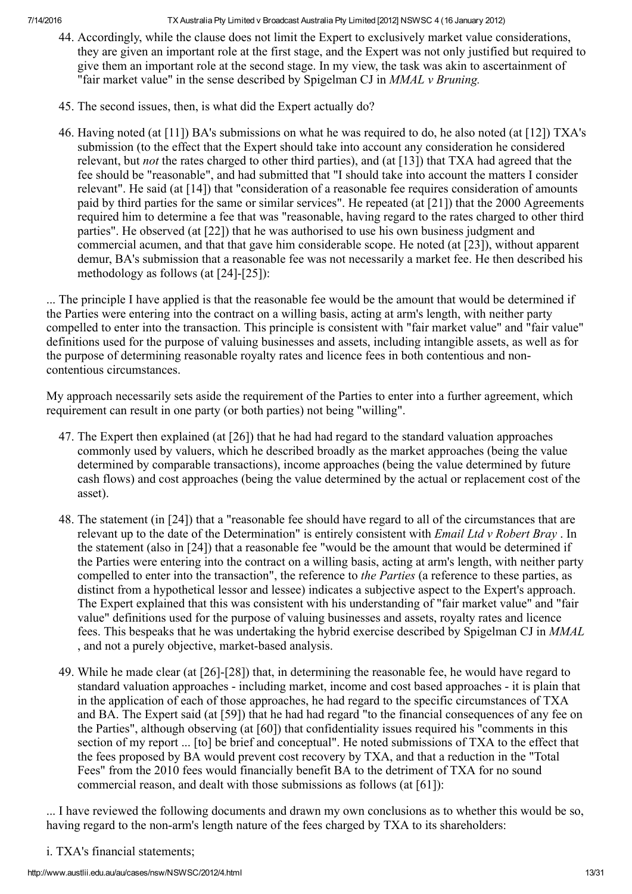- 44. Accordingly, while the clause does not limit the Expert to exclusively market value considerations, they are given an important role at the first stage, and the Expert was not only justified but required to give them an important role at the second stage. In my view, the task was akin to ascertainment of "fair market value" in the sense described by Spigelman CJ in MMAL v Bruning.
- 45. The second issues, then, is what did the Expert actually do?
- 46. Having noted (at [11]) BA's submissions on what he was required to do, he also noted (at [12]) TXA's submission (to the effect that the Expert should take into account any consideration he considered relevant, but *not* the rates charged to other third parties), and (at [13]) that TXA had agreed that the fee should be "reasonable", and had submitted that "I should take into account the matters I consider relevant". He said (at [14]) that "consideration of a reasonable fee requires consideration of amounts paid by third parties for the same or similar services". He repeated (at [21]) that the 2000 Agreements required him to determine a fee that was "reasonable, having regard to the rates charged to other third parties". He observed (at [22]) that he was authorised to use his own business judgment and commercial acumen, and that that gave him considerable scope. He noted (at [23]), without apparent demur, BA's submission that a reasonable fee was not necessarily a market fee. He then described his methodology as follows (at  $[24]-[25]$ ):

... The principle I have applied is that the reasonable fee would be the amount that would be determined if the Parties were entering into the contract on a willing basis, acting at arm's length, with neither party compelled to enter into the transaction. This principle is consistent with "fair market value" and "fair value" definitions used for the purpose of valuing businesses and assets, including intangible assets, as well as for the purpose of determining reasonable royalty rates and licence fees in both contentious and noncontentious circumstances.

My approach necessarily sets aside the requirement of the Parties to enter into a further agreement, which requirement can result in one party (or both parties) not being "willing".

- 47. The Expert then explained (at [26]) that he had had regard to the standard valuation approaches commonly used by valuers, which he described broadly as the market approaches (being the value determined by comparable transactions), income approaches (being the value determined by future cash flows) and cost approaches (being the value determined by the actual or replacement cost of the asset).
- 48. The statement (in [24]) that a "reasonable fee should have regard to all of the circumstances that are relevant up to the date of the Determination" is entirely consistent with *Email Ltd v Robert Bray*. In the statement (also in [24]) that a reasonable fee "would be the amount that would be determined if the Parties were entering into the contract on a willing basis, acting at arm's length, with neither party compelled to enter into the transaction", the reference to the Parties (a reference to these parties, as distinct from a hypothetical lessor and lessee) indicates a subjective aspect to the Expert's approach. The Expert explained that this was consistent with his understanding of "fair market value" and "fair value" definitions used for the purpose of valuing businesses and assets, royalty rates and licence fees. This bespeaks that he was undertaking the hybrid exercise described by Spigelman CJ in MMAL , and not a purely objective, market-based analysis.
- 49. While he made clear (at  $[26]-[28]$ ) that, in determining the reasonable fee, he would have regard to standard valuation approaches - including market, income and cost based approaches - it is plain that in the application of each of those approaches, he had regard to the specific circumstances of TXA and BA. The Expert said (at [59]) that he had had regard "to the financial consequences of any fee on the Parties", although observing (at [60]) that confidentiality issues required his "comments in this section of my report ... [to] be brief and conceptual". He noted submissions of TXA to the effect that the fees proposed by BA would prevent cost recovery by TXA, and that a reduction in the "Total Fees" from the 2010 fees would financially benefit BA to the detriment of TXA for no sound commercial reason, and dealt with those submissions as follows (at [61]):

... I have reviewed the following documents and drawn my own conclusions as to whether this would be so, having regard to the non-arm's length nature of the fees charged by TXA to its shareholders:

i. TXA's financial statements;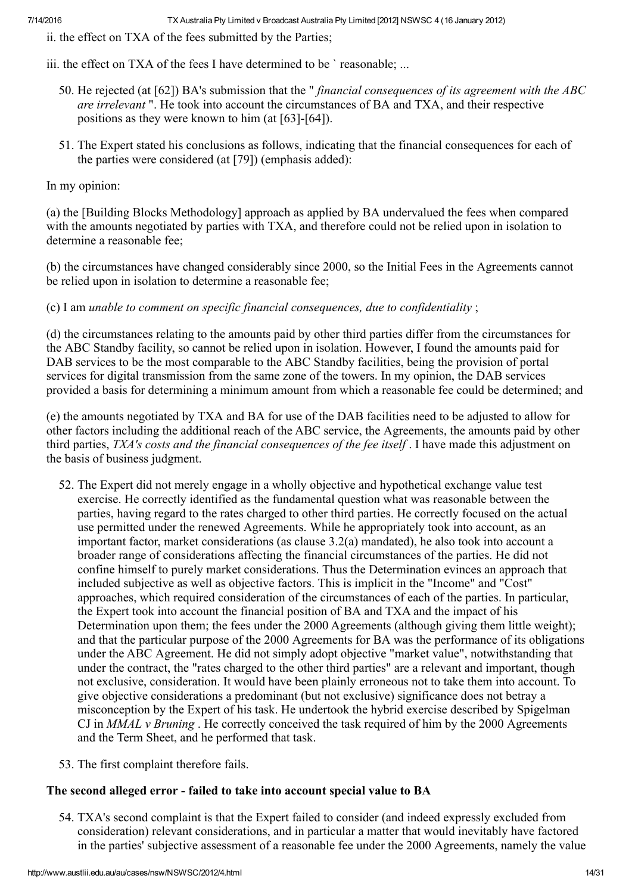ii. the effect on TXA of the fees submitted by the Parties;

iii. the effect on TXA of the fees I have determined to be `reasonable; ...

- 50. He rejected (at [62]) BA's submission that the "*financial consequences of its agreement with the ABC* are irrelevant ". He took into account the circumstances of BA and TXA, and their respective positions as they were known to him (at  $[63]-[64]$ ).
- 51. The Expert stated his conclusions as follows, indicating that the financial consequences for each of the parties were considered (at [79]) (emphasis added):

In my opinion:

(a) the [Building Blocks Methodology] approach as applied by BA undervalued the fees when compared with the amounts negotiated by parties with TXA, and therefore could not be relied upon in isolation to determine a reasonable fee;

(b) the circumstances have changed considerably since 2000, so the Initial Fees in the Agreements cannot be relied upon in isolation to determine a reasonable fee;

(c) I am unable to comment on specific financial consequences, due to confidentiality ;

(d) the circumstances relating to the amounts paid by other third parties differ from the circumstances for the ABC Standby facility, so cannot be relied upon in isolation. However, I found the amounts paid for DAB services to be the most comparable to the ABC Standby facilities, being the provision of portal services for digital transmission from the same zone of the towers. In my opinion, the DAB services provided a basis for determining a minimum amount from which a reasonable fee could be determined; and

(e) the amounts negotiated by TXA and BA for use of the DAB facilities need to be adjusted to allow for other factors including the additional reach of the ABC service, the Agreements, the amounts paid by other third parties, TXA's costs and the financial consequences of the fee itself . I have made this adjustment on the basis of business judgment.

- 52. The Expert did not merely engage in a wholly objective and hypothetical exchange value test exercise. He correctly identified as the fundamental question what was reasonable between the parties, having regard to the rates charged to other third parties. He correctly focused on the actual use permitted under the renewed Agreements. While he appropriately took into account, as an important factor, market considerations (as clause 3.2(a) mandated), he also took into account a broader range of considerations affecting the financial circumstances of the parties. He did not confine himself to purely market considerations. Thus the Determination evinces an approach that included subjective as well as objective factors. This is implicit in the "Income" and "Cost" approaches, which required consideration of the circumstances of each of the parties. In particular, the Expert took into account the financial position of BA and TXA and the impact of his Determination upon them; the fees under the 2000 Agreements (although giving them little weight); and that the particular purpose of the 2000 Agreements for BA was the performance of its obligations under the ABC Agreement. He did not simply adopt objective "market value", notwithstanding that under the contract, the "rates charged to the other third parties" are a relevant and important, though not exclusive, consideration. It would have been plainly erroneous not to take them into account. To give objective considerations a predominant (but not exclusive) significance does not betray a misconception by the Expert of his task. He undertook the hybrid exercise described by Spigelman CJ in  $MMAL$  v Bruning. He correctly conceived the task required of him by the 2000 Agreements and the Term Sheet, and he performed that task.
- 53. The first complaint therefore fails.

## The second alleged error - failed to take into account special value to BA

54. TXA's second complaint is that the Expert failed to consider (and indeed expressly excluded from consideration) relevant considerations, and in particular a matter that would inevitably have factored in the parties' subjective assessment of a reasonable fee under the 2000 Agreements, namely the value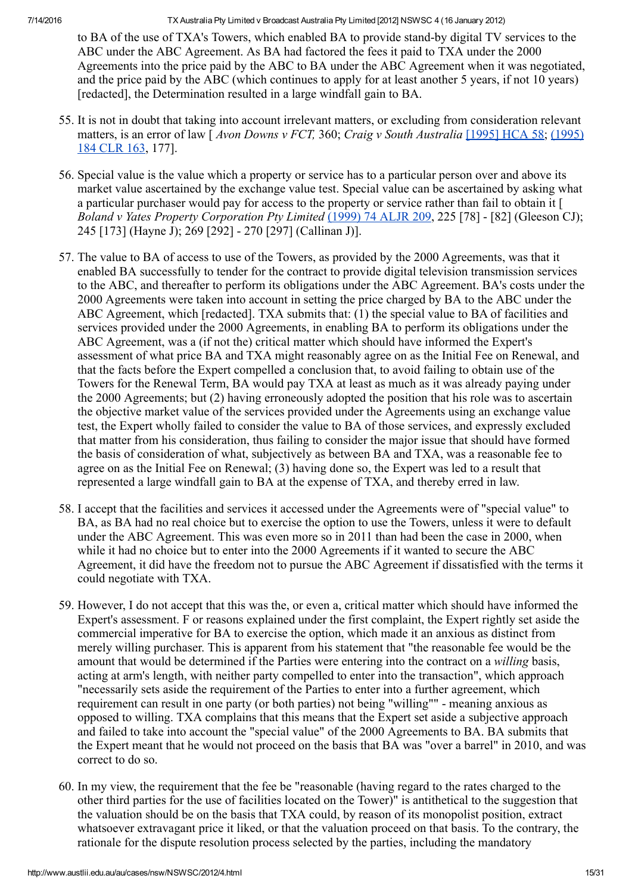to BA of the use of TXA's Towers, which enabled BA to provide stand-by digital TV services to the ABC under the ABC Agreement. As BA had factored the fees it paid to TXA under the 2000 Agreements into the price paid by the ABC to BA under the ABC Agreement when it was negotiated, and the price paid by the ABC (which continues to apply for at least another 5 years, if not 10 years) [redacted], the Determination resulted in a large windfall gain to BA.

- 55. It is not in doubt that taking into account irrelevant matters, or excluding from consideration relevant matters, is an error of law  $\int$  Avon Downs v FCT, 360; Craig v South [Australia](http://www.austlii.edu.au/cgi-bin/LawCite?cit=%281995%29%20184%20CLR%20163) [\[1995\]](http://www.austlii.edu.au/au/cases/cth/HCA/1995/58.html) HCA 58; (1995) 184 CLR 163, 177].
- 56. Special value is the value which a property or service has to a particular person over and above its market value ascertained by the exchange value test. Special value can be ascertained by asking what a particular purchaser would pay for access to the property or service rather than fail to obtain it [ Boland v Yates Property Corporation Pty Limited [\(1999\)](http://www.austlii.edu.au/cgi-bin/LawCite?cit=%281999%29%2074%20ALJR%20209) 74 ALJR 209, 225 [78] - [82] (Gleeson CJ); 245 [173] (Hayne J); 269 [292] 270 [297] (Callinan J)].
- 57. The value to BA of access to use of the Towers, as provided by the 2000 Agreements, was that it enabled BA successfully to tender for the contract to provide digital television transmission services to the ABC, and thereafter to perform its obligations under the ABC Agreement. BA's costs under the 2000 Agreements were taken into account in setting the price charged by BA to the ABC under the ABC Agreement, which [redacted]. TXA submits that: (1) the special value to BA of facilities and services provided under the 2000 Agreements, in enabling BA to perform its obligations under the ABC Agreement, was a (if not the) critical matter which should have informed the Expert's assessment of what price BA and TXA might reasonably agree on as the Initial Fee on Renewal, and that the facts before the Expert compelled a conclusion that, to avoid failing to obtain use of the Towers for the Renewal Term, BA would pay TXA at least as much as it was already paying under the 2000 Agreements; but (2) having erroneously adopted the position that his role was to ascertain the objective market value of the services provided under the Agreements using an exchange value test, the Expert wholly failed to consider the value to BA of those services, and expressly excluded that matter from his consideration, thus failing to consider the major issue that should have formed the basis of consideration of what, subjectively as between BA and TXA, was a reasonable fee to agree on as the Initial Fee on Renewal; (3) having done so, the Expert was led to a result that represented a large windfall gain to BA at the expense of TXA, and thereby erred in law.
- 58. I accept that the facilities and services it accessed under the Agreements were of "special value" to BA, as BA had no real choice but to exercise the option to use the Towers, unless it were to default under the ABC Agreement. This was even more so in 2011 than had been the case in 2000, when while it had no choice but to enter into the 2000 Agreements if it wanted to secure the ABC Agreement, it did have the freedom not to pursue the ABC Agreement if dissatisfied with the terms it could negotiate with TXA.
- 59. However, I do not accept that this was the, or even a, critical matter which should have informed the Expert's assessment. F or reasons explained under the first complaint, the Expert rightly set aside the commercial imperative for BA to exercise the option, which made it an anxious as distinct from merely willing purchaser. This is apparent from his statement that "the reasonable fee would be the amount that would be determined if the Parties were entering into the contract on a willing basis, acting at arm's length, with neither party compelled to enter into the transaction", which approach "necessarily sets aside the requirement of the Parties to enter into a further agreement, which requirement can result in one party (or both parties) not being "willing"" - meaning anxious as opposed to willing. TXA complains that this means that the Expert set aside a subjective approach and failed to take into account the "special value" of the 2000 Agreements to BA. BA submits that the Expert meant that he would not proceed on the basis that BA was "over a barrel" in 2010, and was correct to do so.
- 60. In my view, the requirement that the fee be "reasonable (having regard to the rates charged to the other third parties for the use of facilities located on the Tower)" is antithetical to the suggestion that the valuation should be on the basis that TXA could, by reason of its monopolist position, extract whatsoever extravagant price it liked, or that the valuation proceed on that basis. To the contrary, the rationale for the dispute resolution process selected by the parties, including the mandatory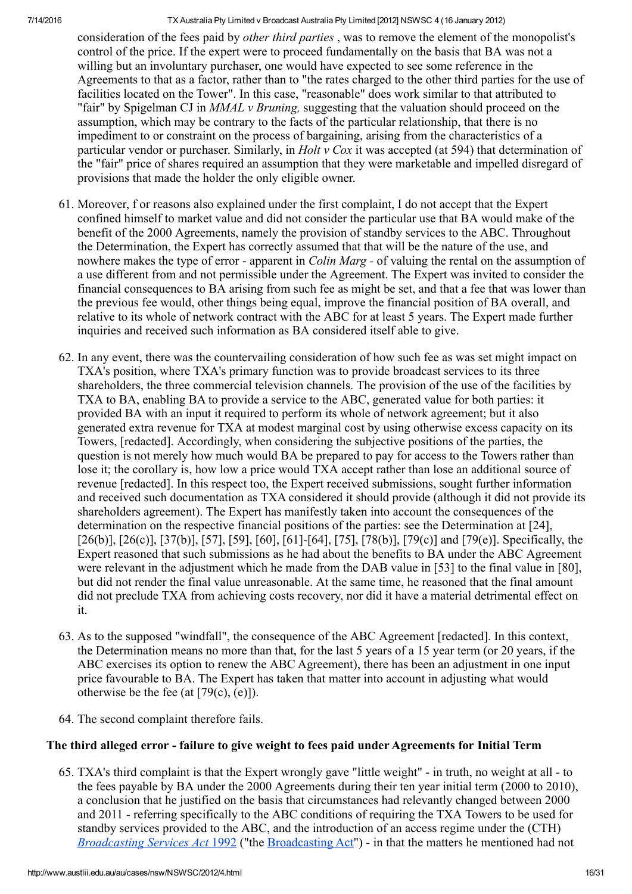consideration of the fees paid by other third parties , was to remove the element of the monopolist's control of the price. If the expert were to proceed fundamentally on the basis that BA was not a willing but an involuntary purchaser, one would have expected to see some reference in the Agreements to that as a factor, rather than to "the rates charged to the other third parties for the use of facilities located on the Tower". In this case, "reasonable" does work similar to that attributed to "fair" by Spigelman CJ in MMAL v Bruning, suggesting that the valuation should proceed on the assumption, which may be contrary to the facts of the particular relationship, that there is no impediment to or constraint on the process of bargaining, arising from the characteristics of a particular vendor or purchaser. Similarly, in *Holt v Cox* it was accepted (at 594) that determination of the "fair" price of shares required an assumption that they were marketable and impelled disregard of provisions that made the holder the only eligible owner.

- 61. Moreover, f or reasons also explained under the first complaint, I do not accept that the Expert confined himself to market value and did not consider the particular use that BA would make of the benefit of the 2000 Agreements, namely the provision of standby services to the ABC. Throughout the Determination, the Expert has correctly assumed that that will be the nature of the use, and nowhere makes the type of error - apparent in *Colin Marg* - of valuing the rental on the assumption of a use different from and not permissible under the Agreement. The Expert was invited to consider the financial consequences to BA arising from such fee as might be set, and that a fee that was lower than the previous fee would, other things being equal, improve the financial position of BA overall, and relative to its whole of network contract with the ABC for at least 5 years. The Expert made further inquiries and received such information as BA considered itself able to give.
- 62. In any event, there was the countervailing consideration of how such fee as was set might impact on TXA's position, where TXA's primary function was to provide broadcast services to its three shareholders, the three commercial television channels. The provision of the use of the facilities by TXA to BA, enabling BA to provide a service to the ABC, generated value for both parties: it provided BA with an input it required to perform its whole of network agreement; but it also generated extra revenue for TXA at modest marginal cost by using otherwise excess capacity on its Towers, [redacted]. Accordingly, when considering the subjective positions of the parties, the question is not merely how much would BA be prepared to pay for access to the Towers rather than lose it; the corollary is, how low a price would TXA accept rather than lose an additional source of revenue [redacted]. In this respect too, the Expert received submissions, sought further information and received such documentation as TXA considered it should provide (although it did not provide its shareholders agreement). The Expert has manifestly taken into account the consequences of the determination on the respective financial positions of the parties: see the Determination at [24],  $[26(b)], [26(c)], [37(b)], [57], [59], [60], [61]$ -[64], [75], [78(b)], [79(c)] and [79(e)]. Specifically, the Expert reasoned that such submissions as he had about the benefits to BA under the ABC Agreement were relevant in the adjustment which he made from the DAB value in [53] to the final value in [80], but did not render the final value unreasonable. At the same time, he reasoned that the final amount did not preclude TXA from achieving costs recovery, nor did it have a material detrimental effect on it.
- 63. As to the supposed "windfall", the consequence of the ABC Agreement [redacted]. In this context, the Determination means no more than that, for the last 5 years of a 15 year term (or 20 years, if the ABC exercises its option to renew the ABC Agreement), there has been an adjustment in one input price favourable to BA. The Expert has taken that matter into account in adjusting what would otherwise be the fee (at  $[79(c), (e)]$ ).
- 64. The second complaint therefore fails.

## The third alleged error - failure to give weight to fees paid under Agreements for Initial Term

65. TXA's third complaint is that the Expert wrongly gave "little weight" in truth, no weight at all to the fees payable by BA under the 2000 Agreements during their ten year initial term (2000 to 2010), a conclusion that he justified on the basis that circumstances had relevantly changed between 2000 and 2011 referring specifically to the ABC conditions of requiring the TXA Towers to be used for standby services provided to the ABC, and the introduction of an access regime under the (CTH) [Broadcasting](http://www.austlii.edu.au/au/legis/cth/consol_act/bsa1992214/) Services Act [1992](http://www.austlii.edu.au/au/legis/cth/consol_act/bsa1992214/) ("the Broadcasting Act") - in that the matters he mentioned had not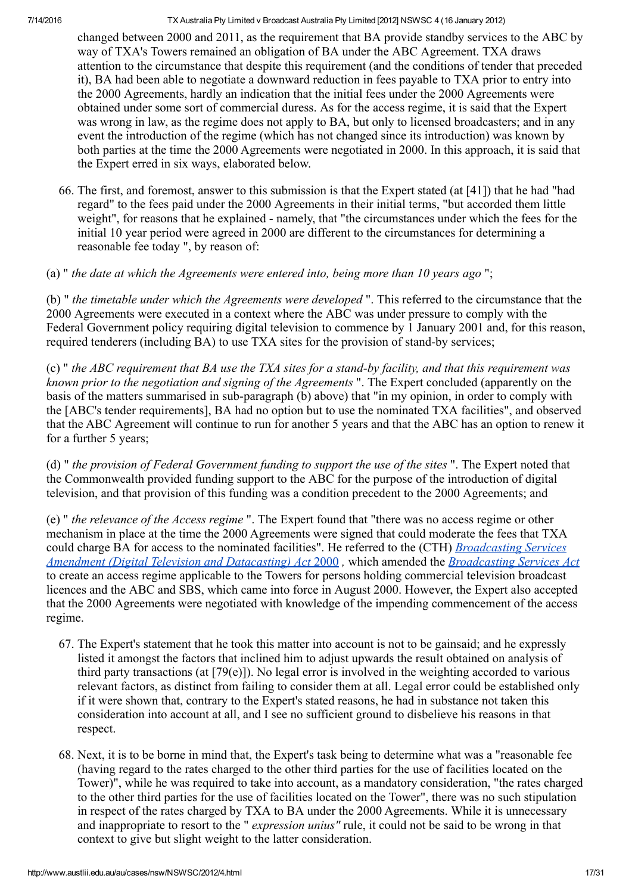changed between 2000 and 2011, as the requirement that BA provide standby services to the ABC by way of TXA's Towers remained an obligation of BA under the ABC Agreement. TXA draws attention to the circumstance that despite this requirement (and the conditions of tender that preceded it), BA had been able to negotiate a downward reduction in fees payable to TXA prior to entry into the 2000 Agreements, hardly an indication that the initial fees under the 2000 Agreements were obtained under some sort of commercial duress. As for the access regime, it is said that the Expert was wrong in law, as the regime does not apply to BA, but only to licensed broadcasters; and in any event the introduction of the regime (which has not changed since its introduction) was known by both parties at the time the 2000 Agreements were negotiated in 2000. In this approach, it is said that the Expert erred in six ways, elaborated below.

66. The first, and foremost, answer to this submission is that the Expert stated (at [41]) that he had "had regard" to the fees paid under the 2000 Agreements in their initial terms, "but accorded them little weight", for reasons that he explained - namely, that "the circumstances under which the fees for the initial 10 year period were agreed in 2000 are different to the circumstances for determining a reasonable fee today ", by reason of:

(a) " the date at which the Agreements were entered into, being more than 10 years ago ";

(b) " the timetable under which the Agreements were developed ". This referred to the circumstance that the 2000 Agreements were executed in a context where the ABC was under pressure to comply with the Federal Government policy requiring digital television to commence by 1 January 2001 and, for this reason, required tenderers (including BA) to use TXA sites for the provision of stand-by services;

(c) " the ABC requirement that BA use the TXA sites for a stand-by facility, and that this requirement was known prior to the negotiation and signing of the Agreements ". The Expert concluded (apparently on the basis of the matters summarised in sub-paragraph (b) above) that "in my opinion, in order to comply with the [ABC's tender requirements], BA had no option but to use the nominated TXA facilities", and observed that the ABC Agreement will continue to run for another 5 years and that the ABC has an option to renew it for a further 5 years;

(d) " the provision of Federal Government funding to support the use of the sites ". The Expert noted that the Commonwealth provided funding support to the ABC for the purpose of the introduction of digital television, and that provision of this funding was a condition precedent to the 2000 Agreements; and

(e) " the relevance of the Access regime ". The Expert found that "there was no access regime or other mechanism in place at the time the 2000 Agreements were signed that could moderate the fees that TXA could charge BA for access to the nominated facilities". He referred to the (CTH) Broadcasting Services Amendment (Digital Television and Datacasting) Act [2000](http://www.austlii.edu.au/au/legis/cth/num_act/bsatada2000573/), which amended the [Broadcasting](http://www.austlii.edu.au/au/legis/cth/num_act/bsatada2000573/) Services Act to create an access regime applicable to the Towers for persons holding commercial television broadcast licences and the ABC and SBS, which came into force in August 2000. However, the Expert also accepted that the 2000 Agreements were negotiated with knowledge of the impending commencement of the access regime.

- 67. The Expert's statement that he took this matter into account is not to be gainsaid; and he expressly listed it amongst the factors that inclined him to adjust upwards the result obtained on analysis of third party transactions (at [79(e)]). No legal error is involved in the weighting accorded to various relevant factors, as distinct from failing to consider them at all. Legal error could be established only if it were shown that, contrary to the Expert's stated reasons, he had in substance not taken this consideration into account at all, and I see no sufficient ground to disbelieve his reasons in that respect.
- 68. Next, it is to be borne in mind that, the Expert's task being to determine what was a "reasonable fee (having regard to the rates charged to the other third parties for the use of facilities located on the Tower)", while he was required to take into account, as a mandatory consideration, "the rates charged to the other third parties for the use of facilities located on the Tower", there was no such stipulation in respect of the rates charged by TXA to BA under the 2000 Agreements. While it is unnecessary and inappropriate to resort to the " *expression unius*" rule, it could not be said to be wrong in that context to give but slight weight to the latter consideration.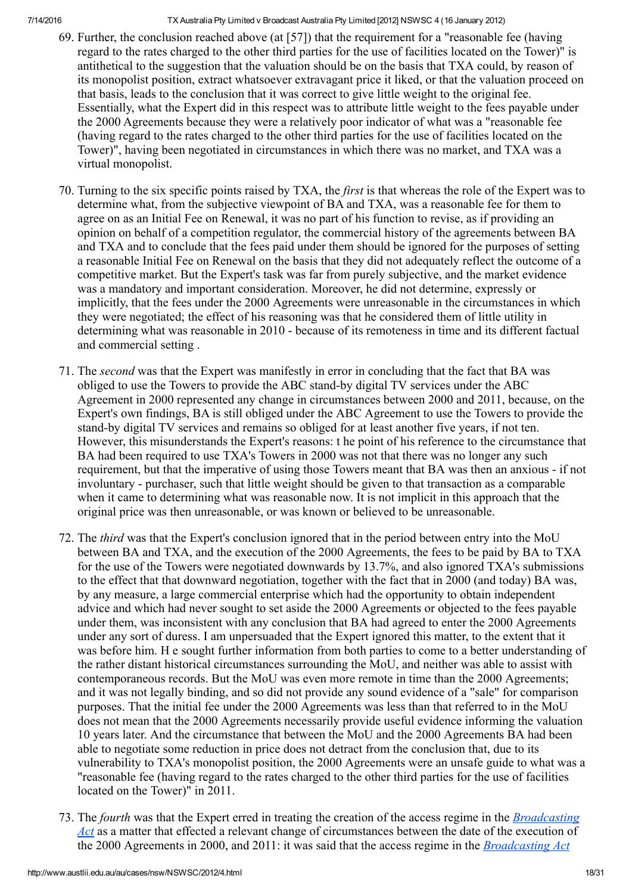- 69. Further, the conclusion reached above (at [57]) that the requirement for a "reasonable fee (having regard to the rates charged to the other third parties for the use of facilities located on the Tower)" is antithetical to the suggestion that the valuation should be on the basis that TXA could, by reason of its monopolist position, extract whatsoever extravagant price it liked, or that the valuation proceed on that basis, leads to the conclusion that it was correct to give little weight to the original fee. Essentially, what the Expert did in this respect was to attribute little weight to the fees payable under the 2000 Agreements because they were a relatively poor indicator of what was a "reasonable fee (having regard to the rates charged to the other third parties for the use of facilities located on the Tower)", having been negotiated in circumstances in which there was no market, and TXA was a virtual monopolist.
- 70. Turning to the six specific points raised by TXA, the first is that whereas the role of the Expert was to determine what, from the subjective viewpoint of BA and TXA, was a reasonable fee for them to agree on as an Initial Fee on Renewal, it was no part of his function to revise, as if providing an opinion on behalf of a competition regulator, the commercial history of the agreements between BA and TXA and to conclude that the fees paid under them should be ignored for the purposes of setting a reasonable Initial Fee on Renewal on the basis that they did not adequately reflect the outcome of a competitive market. But the Expert's task was far from purely subjective, and the market evidence was a mandatory and important consideration. Moreover, he did not determine, expressly or implicitly, that the fees under the 2000 Agreements were unreasonable in the circumstances in which they were negotiated; the effect of his reasoning was that he considered them of little utility in determining what was reasonable in 2010 - because of its remoteness in time and its different factual and commercial setting .
- 71. The second was that the Expert was manifestly in error in concluding that the fact that BA was obliged to use the Towers to provide the ABC stand-by digital TV services under the ABC Agreement in 2000 represented any change in circumstances between 2000 and 2011, because, on the Expert's own findings, BA is still obliged under the ABC Agreement to use the Towers to provide the stand-by digital TV services and remains so obliged for at least another five years, if not ten. However, this misunderstands the Expert's reasons: t he point of his reference to the circumstance that BA had been required to use TXA's Towers in 2000 was not that there was no longer any such requirement, but that the imperative of using those Towers meant that BA was then an anxious - if not involuntary - purchaser, such that little weight should be given to that transaction as a comparable when it came to determining what was reasonable now. It is not implicit in this approach that the original price was then unreasonable, or was known or believed to be unreasonable.
- 72. The third was that the Expert's conclusion ignored that in the period between entry into the MoU between BA and TXA, and the execution of the 2000 Agreements, the fees to be paid by BA to TXA for the use of the Towers were negotiated downwards by 13.7%, and also ignored TXA's submissions to the effect that that downward negotiation, together with the fact that in 2000 (and today) BA was, by any measure, a large commercial enterprise which had the opportunity to obtain independent advice and which had never sought to set aside the 2000 Agreements or objected to the fees payable under them, was inconsistent with any conclusion that BA had agreed to enter the 2000 Agreements under any sort of duress. I am unpersuaded that the Expert ignored this matter, to the extent that it was before him. H e sought further information from both parties to come to a better understanding of the rather distant historical circumstances surrounding the MoU, and neither was able to assist with contemporaneous records. But the MoU was even more remote in time than the 2000 Agreements; and it was not legally binding, and so did not provide any sound evidence of a "sale" for comparison purposes. That the initial fee under the 2000 Agreements was less than that referred to in the MoU does not mean that the 2000 Agreements necessarily provide useful evidence informing the valuation 10 years later. And the circumstance that between the MoU and the 2000 Agreements BA had been able to negotiate some reduction in price does not detract from the conclusion that, due to its vulnerability to TXA's monopolist position, the 2000 Agreements were an unsafe guide to what was a "reasonable fee (having regard to the rates charged to the other third parties for the use of facilities located on the Tower)" in 2011.
- 73. The fourth was that the Expert erred in treating the creation of the access regime in the *Broadcasting* Act as a matter that effected a relevant change of [circumstances](http://www.austlii.edu.au/au/legis/cth/consol_act/bsa1992214/) between the date of the execution of the 2000 Agreements in 2000, and 2011: it was said that the access regime in the *[Broadcasting](http://www.austlii.edu.au/au/legis/cth/consol_act/bsa1992214/) Act*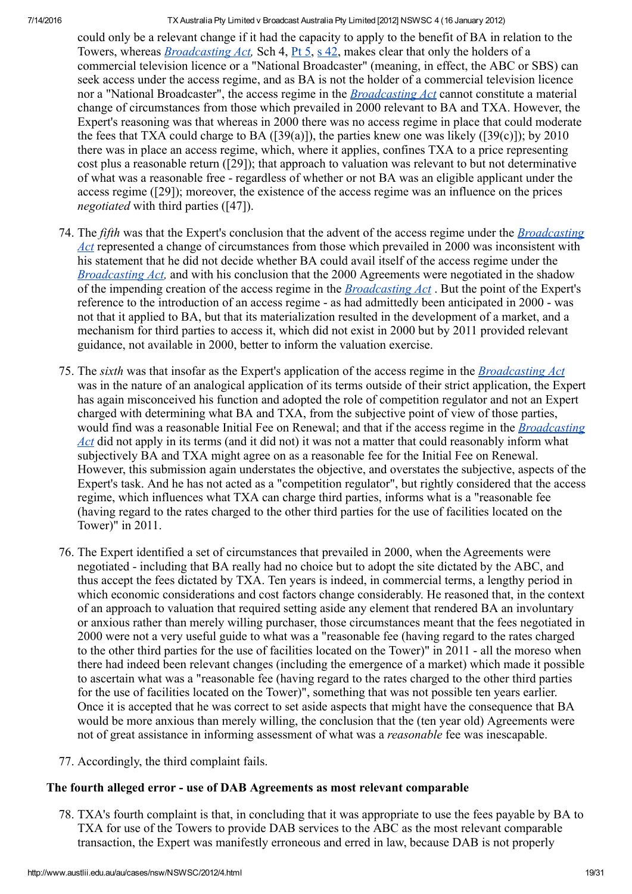could only be a relevant change if it had the capacity to apply to the benefit of BA in relation to the Towers, whereas **[Broadcasting](http://www.austlii.edu.au/au/legis/cth/consol_act/bsa1992214/) Act**, Sch 4, [Pt](http://www.austlii.edu.au/au/legis/cth/consol_act/bsa1992214/index.html#p5) 5, s [42,](http://www.austlii.edu.au/au/legis/cth/consol_act/bsa1992214/s42.html) makes clear that only the holders of a commercial television licence or a "National Broadcaster" (meaning, in effect, the ABC or SBS) can seek access under the access regime, and as BA is not the holder of a commercial television licence nor a "National Broadcaster", the access regime in the *[Broadcasting](http://www.austlii.edu.au/au/legis/cth/consol_act/bsa1992214/) Act* cannot constitute a material change of circumstances from those which prevailed in 2000 relevant to BA and TXA. However, the Expert's reasoning was that whereas in 2000 there was no access regime in place that could moderate the fees that TXA could charge to BA ([39(a)]), the parties knew one was likely ([39(c)]); by 2010 there was in place an access regime, which, where it applies, confines TXA to a price representing cost plus a reasonable return ([29]); that approach to valuation was relevant to but not determinative of what was a reasonable free regardless of whether or not BA was an eligible applicant under the access regime ([29]); moreover, the existence of the access regime was an influence on the prices negotiated with third parties ([47]).

- 74. The *fifth* was that the Expert's conclusion that the advent of the access regime under the *Broadcasting* Act represented a change of [circumstances](http://www.austlii.edu.au/au/legis/cth/consol_act/bsa1992214/) from those which prevailed in 2000 was inconsistent with his statement that he did not decide whether BA could avail itself of the access regime under the [Broadcasting](http://www.austlii.edu.au/au/legis/cth/consol_act/bsa1992214/) Act, and with his conclusion that the 2000 Agreements were negotiated in the shadow of the impending creation of the access regime in the [Broadcasting](http://www.austlii.edu.au/au/legis/cth/consol_act/bsa1992214/) Act . But the point of the Expert's reference to the introduction of an access regime - as had admittedly been anticipated in 2000 - was not that it applied to BA, but that its materialization resulted in the development of a market, and a mechanism for third parties to access it, which did not exist in 2000 but by 2011 provided relevant guidance, not available in 2000, better to inform the valuation exercise.
- 75. The sixth was that insofar as the Expert's application of the access regime in the [Broadcasting](http://www.austlii.edu.au/au/legis/cth/consol_act/bsa1992214/) Act was in the nature of an analogical application of its terms outside of their strict application, the Expert has again misconceived his function and adopted the role of competition regulator and not an Expert charged with determining what BA and TXA, from the subjective point of view of those parties, would find was a reasonable Initial Fee on Renewal; and that if the access regime in the *[Broadcasting](http://www.austlii.edu.au/au/legis/cth/consol_act/bsa1992214/)* Act did not apply in its terms (and it did not) it was not a matter that could reasonably inform what subjectively BA and TXA might agree on as a reasonable fee for the Initial Fee on Renewal. However, this submission again understates the objective, and overstates the subjective, aspects of the Expert's task. And he has not acted as a "competition regulator", but rightly considered that the access regime, which influences what TXA can charge third parties, informs what is a "reasonable fee (having regard to the rates charged to the other third parties for the use of facilities located on the Tower)" in 2011.
- 76. The Expert identified a set of circumstances that prevailed in 2000, when the Agreements were negotiated including that BA really had no choice but to adopt the site dictated by the ABC, and thus accept the fees dictated by TXA. Ten years is indeed, in commercial terms, a lengthy period in which economic considerations and cost factors change considerably. He reasoned that, in the context of an approach to valuation that required setting aside any element that rendered BA an involuntary or anxious rather than merely willing purchaser, those circumstances meant that the fees negotiated in 2000 were not a very useful guide to what was a "reasonable fee (having regard to the rates charged to the other third parties for the use of facilities located on the Tower)" in 2011 - all the moreso when there had indeed been relevant changes (including the emergence of a market) which made it possible to ascertain what was a "reasonable fee (having regard to the rates charged to the other third parties for the use of facilities located on the Tower)", something that was not possible ten years earlier. Once it is accepted that he was correct to set aside aspects that might have the consequence that BA would be more anxious than merely willing, the conclusion that the (ten year old) Agreements were not of great assistance in informing assessment of what was a reasonable fee was inescapable.
- 77. Accordingly, the third complaint fails.

## The fourth alleged error - use of DAB Agreements as most relevant comparable

78. TXA's fourth complaint is that, in concluding that it was appropriate to use the fees payable by BA to TXA for use of the Towers to provide DAB services to the ABC as the most relevant comparable transaction, the Expert was manifestly erroneous and erred in law, because DAB is not properly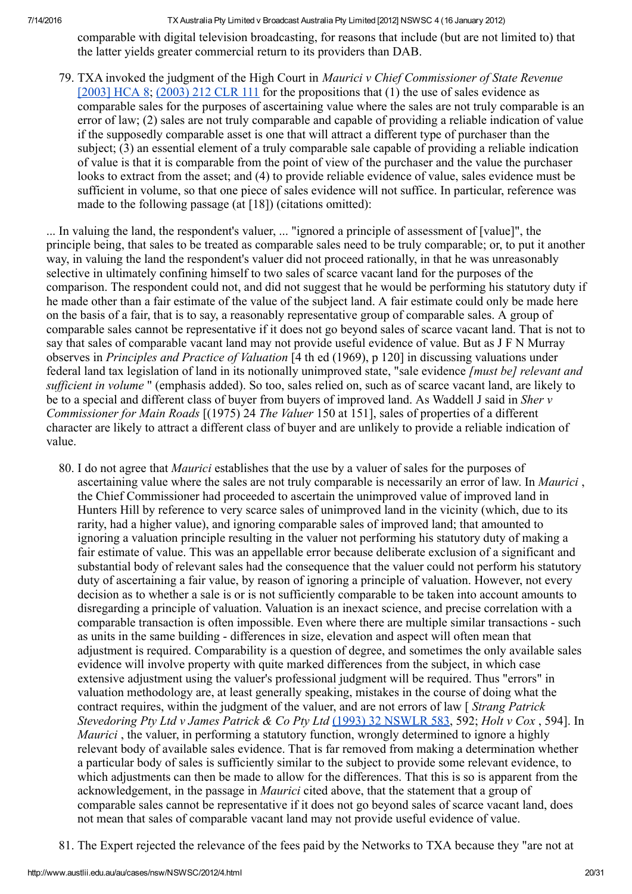comparable with digital television broadcasting, for reasons that include (but are not limited to) that the latter yields greater commercial return to its providers than DAB.

79. TXA invoked the judgment of the High Court in Maurici v Chief Commissioner of State Revenue  $[2003]$  HCA 8;  $(2003)$  212 CLR 111 for the propositions that (1) the use of sales evidence as comparable sales for the purposes of ascertaining value where the sales are not truly comparable is an error of law; (2) sales are not truly comparable and capable of providing a reliable indication of value if the supposedly comparable asset is one that will attract a different type of purchaser than the subject; (3) an essential element of a truly comparable sale capable of providing a reliable indication of value is that it is comparable from the point of view of the purchaser and the value the purchaser looks to extract from the asset; and (4) to provide reliable evidence of value, sales evidence must be sufficient in volume, so that one piece of sales evidence will not suffice. In particular, reference was made to the following passage (at [18]) (citations omitted):

... In valuing the land, the respondent's valuer, ... "ignored a principle of assessment of [value]", the principle being, that sales to be treated as comparable sales need to be truly comparable; or, to put it another way, in valuing the land the respondent's valuer did not proceed rationally, in that he was unreasonably selective in ultimately confining himself to two sales of scarce vacant land for the purposes of the comparison. The respondent could not, and did not suggest that he would be performing his statutory duty if he made other than a fair estimate of the value of the subject land. A fair estimate could only be made here on the basis of a fair, that is to say, a reasonably representative group of comparable sales. A group of comparable sales cannot be representative if it does not go beyond sales of scarce vacant land. That is not to say that sales of comparable vacant land may not provide useful evidence of value. But as J F N Murray observes in Principles and Practice of Valuation [4 th ed (1969), p 120] in discussing valuations under federal land tax legislation of land in its notionally unimproved state, "sale evidence [must be] relevant and sufficient in volume " (emphasis added). So too, sales relied on, such as of scarce vacant land, are likely to be to a special and different class of buyer from buyers of improved land. As Waddell J said in *Sher v* Commissioner for Main Roads [(1975) 24 The Valuer 150 at 151], sales of properties of a different character are likely to attract a different class of buyer and are unlikely to provide a reliable indication of value.

- 80. I do not agree that Maurici establishes that the use by a valuer of sales for the purposes of ascertaining value where the sales are not truly comparable is necessarily an error of law. In *Maurici*, the Chief Commissioner had proceeded to ascertain the unimproved value of improved land in Hunters Hill by reference to very scarce sales of unimproved land in the vicinity (which, due to its rarity, had a higher value), and ignoring comparable sales of improved land; that amounted to ignoring a valuation principle resulting in the valuer not performing his statutory duty of making a fair estimate of value. This was an appellable error because deliberate exclusion of a significant and substantial body of relevant sales had the consequence that the valuer could not perform his statutory duty of ascertaining a fair value, by reason of ignoring a principle of valuation. However, not every decision as to whether a sale is or is not sufficiently comparable to be taken into account amounts to disregarding a principle of valuation. Valuation is an inexact science, and precise correlation with a comparable transaction is often impossible. Even where there are multiple similar transactions - such as units in the same building - differences in size, elevation and aspect will often mean that adjustment is required. Comparability is a question of degree, and sometimes the only available sales evidence will involve property with quite marked differences from the subject, in which case extensive adjustment using the valuer's professional judgment will be required. Thus "errors" in valuation methodology are, at least generally speaking, mistakes in the course of doing what the contract requires, within the judgment of the valuer, and are not errors of law [ Strang Patrick Stevedoring Pty Ltd v James Patrick & Co Pty Ltd (1993) 32 [NSWLR](http://www.austlii.edu.au/cgi-bin/LawCite?cit=%281993%29%2032%20NSWLR%20583) 583, 592; Holt v Cox, 594]. In Maurici, the valuer, in performing a statutory function, wrongly determined to ignore a highly relevant body of available sales evidence. That is far removed from making a determination whether a particular body of sales is sufficiently similar to the subject to provide some relevant evidence, to which adjustments can then be made to allow for the differences. That this is so is apparent from the acknowledgement, in the passage in Maurici cited above, that the statement that a group of comparable sales cannot be representative if it does not go beyond sales of scarce vacant land, does not mean that sales of comparable vacant land may not provide useful evidence of value.
- 81. The Expert rejected the relevance of the fees paid by the Networks to TXA because they "are not at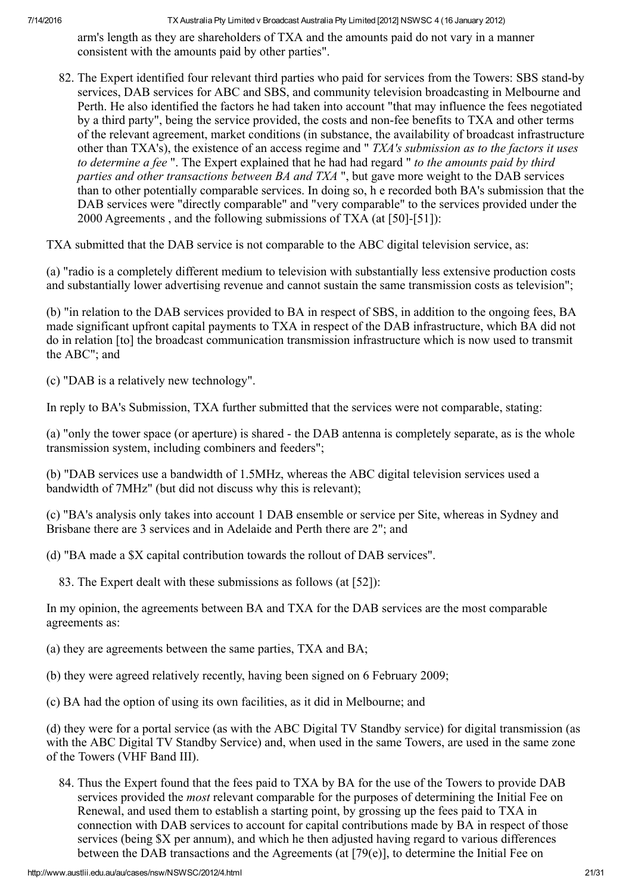arm's length as they are shareholders of TXA and the amounts paid do not vary in a manner consistent with the amounts paid by other parties".

82. The Expert identified four relevant third parties who paid for services from the Towers: SBS stand-by services, DAB services for ABC and SBS, and community television broadcasting in Melbourne and Perth. He also identified the factors he had taken into account "that may influence the fees negotiated by a third party", being the service provided, the costs and non-fee benefits to TXA and other terms of the relevant agreement, market conditions (in substance, the availability of broadcast infrastructure other than TXA's), the existence of an access regime and " TXA's submission as to the factors it uses to determine a fee ". The Expert explained that he had had regard " to the amounts paid by third parties and other transactions between BA and TXA ", but gave more weight to the DAB services than to other potentially comparable services. In doing so, h e recorded both BA's submission that the DAB services were "directly comparable" and "very comparable" to the services provided under the  $2000$  Agreements, and the following submissions of TXA (at [50]-[51]):

TXA submitted that the DAB service is not comparable to the ABC digital television service, as:

(a) "radio is a completely different medium to television with substantially less extensive production costs and substantially lower advertising revenue and cannot sustain the same transmission costs as television";

(b) "in relation to the DAB services provided to BA in respect of SBS, in addition to the ongoing fees, BA made significant upfront capital payments to TXA in respect of the DAB infrastructure, which BA did not do in relation [to] the broadcast communication transmission infrastructure which is now used to transmit the ABC"; and

(c) "DAB is a relatively new technology".

In reply to BA's Submission, TXA further submitted that the services were not comparable, stating:

(a) "only the tower space (or aperture) is shared - the DAB antenna is completely separate, as is the whole transmission system, including combiners and feeders";

(b) "DAB services use a bandwidth of 1.5MHz, whereas the ABC digital television services used a bandwidth of 7MHz" (but did not discuss why this is relevant);

(c) "BA's analysis only takes into account 1 DAB ensemble or service per Site, whereas in Sydney and Brisbane there are 3 services and in Adelaide and Perth there are 2"; and

(d) "BA made a \$X capital contribution towards the rollout of DAB services".

83. The Expert dealt with these submissions as follows (at [52]):

In my opinion, the agreements between BA and TXA for the DAB services are the most comparable agreements as:

(a) they are agreements between the same parties, TXA and BA;

(b) they were agreed relatively recently, having been signed on 6 February 2009;

(c) BA had the option of using its own facilities, as it did in Melbourne; and

(d) they were for a portal service (as with the ABC Digital TV Standby service) for digital transmission (as with the ABC Digital TV Standby Service) and, when used in the same Towers, are used in the same zone of the Towers (VHF Band III).

84. Thus the Expert found that the fees paid to TXA by BA for the use of the Towers to provide DAB services provided the *most* relevant comparable for the purposes of determining the Initial Fee on Renewal, and used them to establish a starting point, by grossing up the fees paid to TXA in connection with DAB services to account for capital contributions made by BA in respect of those services (being \$X per annum), and which he then adjusted having regard to various differences between the DAB transactions and the Agreements (at [79(e)], to determine the Initial Fee on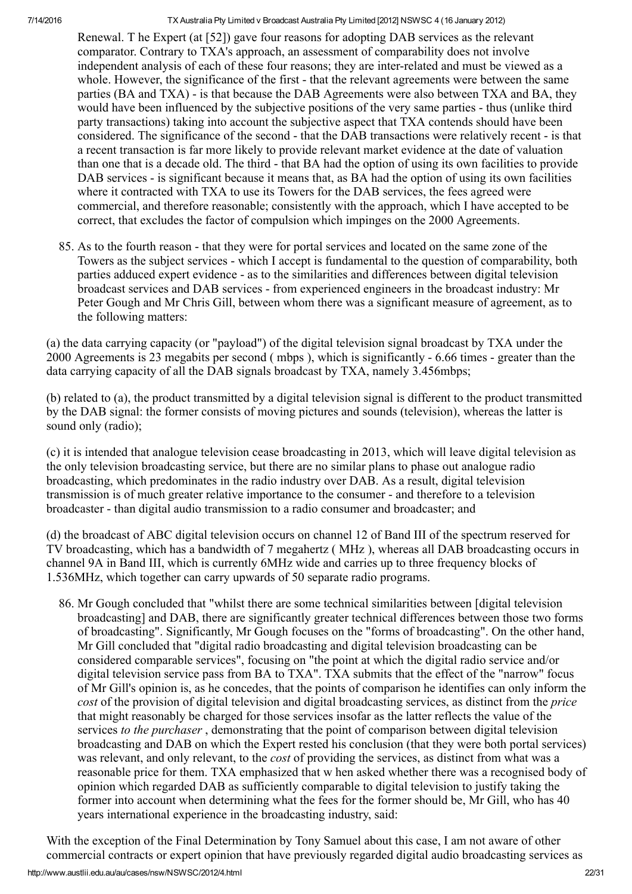Renewal. T he Expert (at [52]) gave four reasons for adopting DAB services as the relevant comparator. Contrary to TXA's approach, an assessment of comparability does not involve independent analysis of each of these four reasons; they are interrelated and must be viewed as a whole. However, the significance of the first - that the relevant agreements were between the same parties (BA and TXA) - is that because the DAB Agreements were also between TXA and BA, they would have been influenced by the subjective positions of the very same parties - thus (unlike third party transactions) taking into account the subjective aspect that TXA contends should have been considered. The significance of the second - that the DAB transactions were relatively recent - is that a recent transaction is far more likely to provide relevant market evidence at the date of valuation than one that is a decade old. The third - that BA had the option of using its own facilities to provide DAB services - is significant because it means that, as BA had the option of using its own facilities where it contracted with TXA to use its Towers for the DAB services, the fees agreed were commercial, and therefore reasonable; consistently with the approach, which I have accepted to be correct, that excludes the factor of compulsion which impinges on the 2000 Agreements.

85. As to the fourth reason - that they were for portal services and located on the same zone of the Towers as the subject services which I accept is fundamental to the question of comparability, both parties adduced expert evidence as to the similarities and differences between digital television broadcast services and DAB services from experienced engineers in the broadcast industry: Mr Peter Gough and Mr Chris Gill, between whom there was a significant measure of agreement, as to the following matters:

(a) the data carrying capacity (or "payload") of the digital television signal broadcast by TXA under the 2000 Agreements is 23 megabits per second ( mbps ), which is significantly 6.66 times greater than the data carrying capacity of all the DAB signals broadcast by TXA, namely 3.456mbps;

(b) related to (a), the product transmitted by a digital television signal is different to the product transmitted by the DAB signal: the former consists of moving pictures and sounds (television), whereas the latter is sound only (radio);

(c) it is intended that analogue television cease broadcasting in 2013, which will leave digital television as the only television broadcasting service, but there are no similar plans to phase out analogue radio broadcasting, which predominates in the radio industry over DAB. As a result, digital television transmission is of much greater relative importance to the consumer and therefore to a television broadcaster than digital audio transmission to a radio consumer and broadcaster; and

(d) the broadcast of ABC digital television occurs on channel 12 of Band III of the spectrum reserved for TV broadcasting, which has a bandwidth of 7 megahertz ( MHz ), whereas all DAB broadcasting occurs in channel 9A in Band III, which is currently 6MHz wide and carries up to three frequency blocks of 1.536MHz, which together can carry upwards of 50 separate radio programs.

86. Mr Gough concluded that "whilst there are some technical similarities between [digital television broadcasting] and DAB, there are significantly greater technical differences between those two forms of broadcasting". Significantly, Mr Gough focuses on the "forms of broadcasting". On the other hand, Mr Gill concluded that "digital radio broadcasting and digital television broadcasting can be considered comparable services", focusing on "the point at which the digital radio service and/or digital television service pass from BA to TXA". TXA submits that the effect of the "narrow" focus of Mr Gill's opinion is, as he concedes, that the points of comparison he identifies can only inform the cost of the provision of digital television and digital broadcasting services, as distinct from the *price* that might reasonably be charged for those services insofar as the latter reflects the value of the services to the purchaser, demonstrating that the point of comparison between digital television broadcasting and DAB on which the Expert rested his conclusion (that they were both portal services) was relevant, and only relevant, to the *cost* of providing the services, as distinct from what was a reasonable price for them. TXA emphasized that w hen asked whether there was a recognised body of opinion which regarded DAB as sufficiently comparable to digital television to justify taking the former into account when determining what the fees for the former should be, Mr Gill, who has 40 years international experience in the broadcasting industry, said:

With the exception of the Final Determination by Tony Samuel about this case, I am not aware of other commercial contracts or expert opinion that have previously regarded digital audio broadcasting services as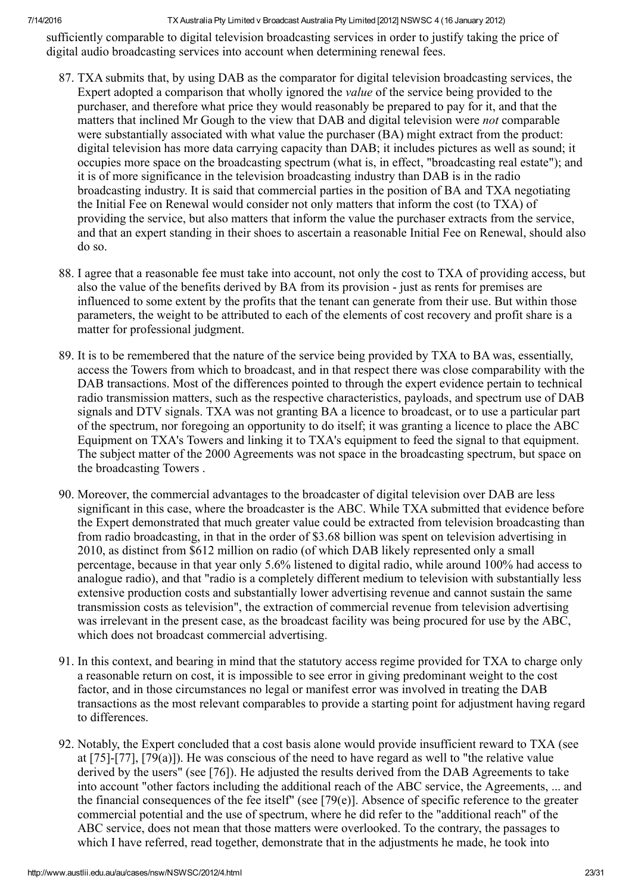sufficiently comparable to digital television broadcasting services in order to justify taking the price of digital audio broadcasting services into account when determining renewal fees.

- 87. TXA submits that, by using DAB as the comparator for digital television broadcasting services, the Expert adopted a comparison that wholly ignored the value of the service being provided to the purchaser, and therefore what price they would reasonably be prepared to pay for it, and that the matters that inclined Mr Gough to the view that DAB and digital television were not comparable were substantially associated with what value the purchaser (BA) might extract from the product: digital television has more data carrying capacity than DAB; it includes pictures as well as sound; it occupies more space on the broadcasting spectrum (what is, in effect, "broadcasting real estate"); and it is of more significance in the television broadcasting industry than DAB is in the radio broadcasting industry. It is said that commercial parties in the position of BA and TXA negotiating the Initial Fee on Renewal would consider not only matters that inform the cost (to TXA) of providing the service, but also matters that inform the value the purchaser extracts from the service, and that an expert standing in their shoes to ascertain a reasonable Initial Fee on Renewal, should also do so.
- 88. I agree that a reasonable fee must take into account, not only the cost to TXA of providing access, but also the value of the benefits derived by BA from its provision - just as rents for premises are influenced to some extent by the profits that the tenant can generate from their use. But within those parameters, the weight to be attributed to each of the elements of cost recovery and profit share is a matter for professional judgment.
- 89. It is to be remembered that the nature of the service being provided by TXA to BA was, essentially, access the Towers from which to broadcast, and in that respect there was close comparability with the DAB transactions. Most of the differences pointed to through the expert evidence pertain to technical radio transmission matters, such as the respective characteristics, payloads, and spectrum use of DAB signals and DTV signals. TXA was not granting BA a licence to broadcast, or to use a particular part of the spectrum, nor foregoing an opportunity to do itself; it was granting a licence to place the ABC Equipment on TXA's Towers and linking it to TXA's equipment to feed the signal to that equipment. The subject matter of the 2000 Agreements was not space in the broadcasting spectrum, but space on the broadcasting Towers .
- 90. Moreover, the commercial advantages to the broadcaster of digital television over DAB are less significant in this case, where the broadcaster is the ABC. While TXA submitted that evidence before the Expert demonstrated that much greater value could be extracted from television broadcasting than from radio broadcasting, in that in the order of \$3.68 billion was spent on television advertising in 2010, as distinct from \$612 million on radio (of which DAB likely represented only a small percentage, because in that year only 5.6% listened to digital radio, while around 100% had access to analogue radio), and that "radio is a completely different medium to television with substantially less extensive production costs and substantially lower advertising revenue and cannot sustain the same transmission costs as television", the extraction of commercial revenue from television advertising was irrelevant in the present case, as the broadcast facility was being procured for use by the ABC, which does not broadcast commercial advertising.
- 91. In this context, and bearing in mind that the statutory access regime provided for TXA to charge only a reasonable return on cost, it is impossible to see error in giving predominant weight to the cost factor, and in those circumstances no legal or manifest error was involved in treating the DAB transactions as the most relevant comparables to provide a starting point for adjustment having regard to differences.
- 92. Notably, the Expert concluded that a cost basis alone would provide insufficient reward to TXA (see at  $[75]$ - $[77]$ ,  $[79(a)]$ ). He was conscious of the need to have regard as well to "the relative value derived by the users" (see [76]). He adjusted the results derived from the DAB Agreements to take into account "other factors including the additional reach of the ABC service, the Agreements, ... and the financial consequences of the fee itself" (see [79(e)]. Absence of specific reference to the greater commercial potential and the use of spectrum, where he did refer to the "additional reach" of the ABC service, does not mean that those matters were overlooked. To the contrary, the passages to which I have referred, read together, demonstrate that in the adjustments he made, he took into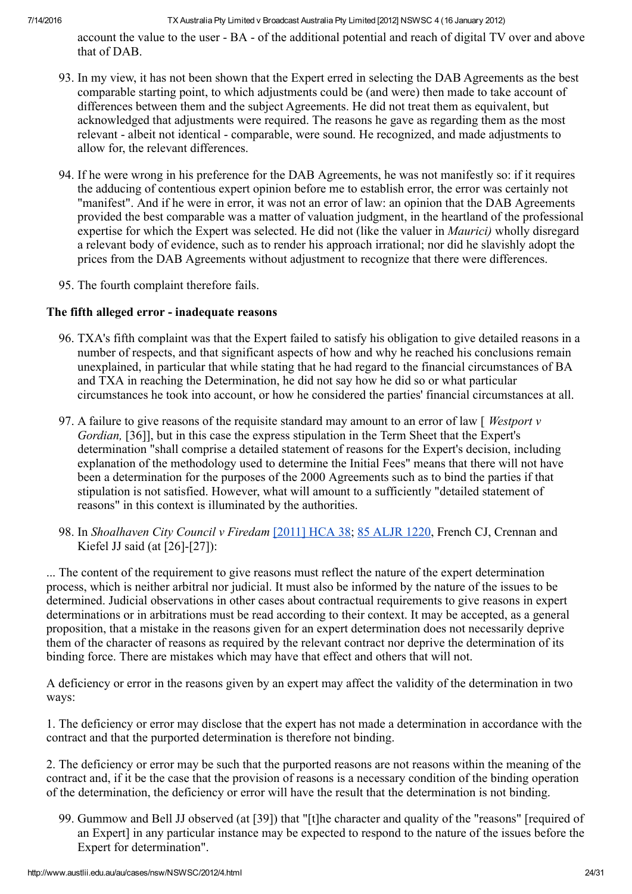account the value to the user - BA - of the additional potential and reach of digital TV over and above that of DAB.

- 93. In my view, it has not been shown that the Expert erred in selecting the DAB Agreements as the best comparable starting point, to which adjustments could be (and were) then made to take account of differences between them and the subject Agreements. He did not treat them as equivalent, but acknowledged that adjustments were required. The reasons he gave as regarding them as the most relevant - albeit not identical - comparable, were sound. He recognized, and made adjustments to allow for, the relevant differences.
- 94. If he were wrong in his preference for the DAB Agreements, he was not manifestly so: if it requires the adducing of contentious expert opinion before me to establish error, the error was certainly not "manifest". And if he were in error, it was not an error of law: an opinion that the DAB Agreements provided the best comparable was a matter of valuation judgment, in the heartland of the professional expertise for which the Expert was selected. He did not (like the valuer in *Maurici*) wholly disregard a relevant body of evidence, such as to render his approach irrational; nor did he slavishly adopt the prices from the DAB Agreements without adjustment to recognize that there were differences.
- 95. The fourth complaint therefore fails.

#### The fifth alleged error - inadequate reasons

- 96. TXA's fifth complaint was that the Expert failed to satisfy his obligation to give detailed reasons in a number of respects, and that significant aspects of how and why he reached his conclusions remain unexplained, in particular that while stating that he had regard to the financial circumstances of BA and TXA in reaching the Determination, he did not say how he did so or what particular circumstances he took into account, or how he considered the parties' financial circumstances at all.
- 97. A failure to give reasons of the requisite standard may amount to an error of law  $\lceil$  *Westport v* Gordian, [36]], but in this case the express stipulation in the Term Sheet that the Expert's determination "shall comprise a detailed statement of reasons for the Expert's decision, including explanation of the methodology used to determine the Initial Fees" means that there will not have been a determination for the purposes of the 2000 Agreements such as to bind the parties if that stipulation is not satisfied. However, what will amount to a sufficiently "detailed statement of reasons" in this context is illuminated by the authorities.
- 98. In Shoalhaven City Council v Firedam [\[2011\]](http://www.austlii.edu.au/au/cases/cth/HCA/2011/38.html) HCA 38; 85 [ALJR](http://www.austlii.edu.au/cgi-bin/LawCite?cit=85%20ALJR%201220) 1220, French CJ, Crennan and Kiefel JJ said (at  $[26]-[27]$ ):

... The content of the requirement to give reasons must reflect the nature of the expert determination process, which is neither arbitral nor judicial. It must also be informed by the nature of the issues to be determined. Judicial observations in other cases about contractual requirements to give reasons in expert determinations or in arbitrations must be read according to their context. It may be accepted, as a general proposition, that a mistake in the reasons given for an expert determination does not necessarily deprive them of the character of reasons as required by the relevant contract nor deprive the determination of its binding force. There are mistakes which may have that effect and others that will not.

A deficiency or error in the reasons given by an expert may affect the validity of the determination in two ways:

1. The deficiency or error may disclose that the expert has not made a determination in accordance with the contract and that the purported determination is therefore not binding.

2. The deficiency or error may be such that the purported reasons are not reasons within the meaning of the contract and, if it be the case that the provision of reasons is a necessary condition of the binding operation of the determination, the deficiency or error will have the result that the determination is not binding.

99. Gummow and Bell JJ observed (at [39]) that "[t]he character and quality of the "reasons" [required of an Expert] in any particular instance may be expected to respond to the nature of the issues before the Expert for determination".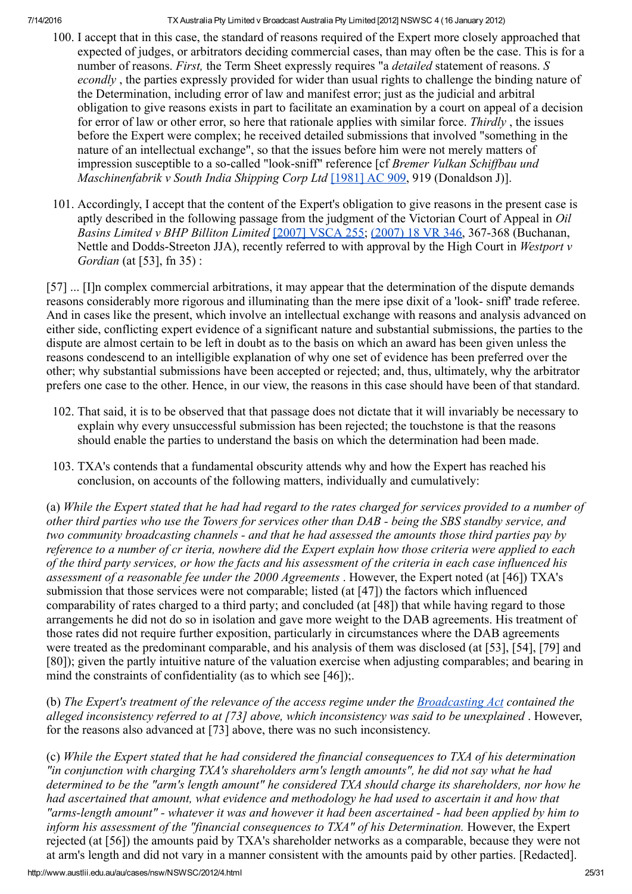- 100. I accept that in this case, the standard of reasons required of the Expert more closely approached that expected of judges, or arbitrators deciding commercial cases, than may often be the case. This is for a number of reasons. First, the Term Sheet expressly requires "a *detailed* statement of reasons. S econdly, the parties expressly provided for wider than usual rights to challenge the binding nature of the Determination, including error of law and manifest error; just as the judicial and arbitral obligation to give reasons exists in part to facilitate an examination by a court on appeal of a decision for error of law or other error, so here that rationale applies with similar force. Thirdly, the issues before the Expert were complex; he received detailed submissions that involved "something in the nature of an intellectual exchange", so that the issues before him were not merely matters of impression susceptible to a so-called "look-sniff" reference [cf *Bremer Vulkan Schiffbau und* Maschinenfabrik v South India Shipping Corp Ltd [\[1981\]](http://www.austlii.edu.au/cgi-bin/LawCite?cit=%5b1981%5d%20AC%20909) AC 909, 919 (Donaldson J)].
- 101. Accordingly, I accept that the content of the Expert's obligation to give reasons in the present case is aptly described in the following passage from the judgment of the Victorian Court of Appeal in Oil Basins Limited v BHP Billiton Limited  $[2007]$  [VSCA](http://www.austlii.edu.au/au/cases/vic/VSCA/2007/255.html) 255; [\(2007\)](http://www.austlii.edu.au/cgi-bin/LawCite?cit=%282007%29%2018%20VR%20346) 18 VR 346, 367-368 (Buchanan, Nettle and Dodds-Streeton JJA), recently referred to with approval by the High Court in Westport  $v$ Gordian (at [53], fn 35) :

[57] ... [I]n complex commercial arbitrations, it may appear that the determination of the dispute demands reasons considerably more rigorous and illuminating than the mere ipse dixit of a 'look sniff' trade referee. And in cases like the present, which involve an intellectual exchange with reasons and analysis advanced on either side, conflicting expert evidence of a significant nature and substantial submissions, the parties to the dispute are almost certain to be left in doubt as to the basis on which an award has been given unless the reasons condescend to an intelligible explanation of why one set of evidence has been preferred over the other; why substantial submissions have been accepted or rejected; and, thus, ultimately, why the arbitrator prefers one case to the other. Hence, in our view, the reasons in this case should have been of that standard.

- 102. That said, it is to be observed that that passage does not dictate that it will invariably be necessary to explain why every unsuccessful submission has been rejected; the touchstone is that the reasons should enable the parties to understand the basis on which the determination had been made.
- 103. TXA's contends that a fundamental obscurity attends why and how the Expert has reached his conclusion, on accounts of the following matters, individually and cumulatively:

(a) While the Expert stated that he had had regard to the rates charged for services provided to a number of other third parties who use the Towers for services other than  $DAB$  - being the SBS standby service, and two community broadcasting channels - and that he had assessed the amounts those third parties pay by reference to a number of cr iteria, nowhere did the Expert explain how those criteria were applied to each of the third party services, or how the facts and his assessment of the criteria in each case influenced his assessment of a reasonable fee under the 2000 Agreements . However, the Expert noted (at [46]) TXA's submission that those services were not comparable; listed (at [47]) the factors which influenced comparability of rates charged to a third party; and concluded (at [48]) that while having regard to those arrangements he did not do so in isolation and gave more weight to the DAB agreements. His treatment of those rates did not require further exposition, particularly in circumstances where the DAB agreements were treated as the predominant comparable, and his analysis of them was disclosed (at [53], [54], [79] and [80]); given the partly intuitive nature of the valuation exercise when adjusting comparables; and bearing in mind the constraints of confidentiality (as to which see [46]);

(b) The Expert's treatment of the relevance of the access regime under the  $B_{roadcasting}$  Act contained the alleged inconsistency referred to at [73] above, which inconsistency was said to be unexplained . However, for the reasons also advanced at [73] above, there was no such inconsistency.

(c) While the Expert stated that he had considered the financial consequences to TXA of his determination "in conjunction with charging TXA's shareholders arm's length amounts", he did not say what he had determined to be the "arm's length amount" he considered TXA should charge its shareholders, nor how he had ascertained that amount, what evidence and methodology he had used to ascertain it and how that "arms-length amount" - whatever it was and however it had been ascertained - had been applied by him to inform his assessment of the "financial consequences to TXA" of his Determination. However, the Expert rejected (at [56]) the amounts paid by TXA's shareholder networks as a comparable, because they were not at arm's length and did not vary in a manner consistent with the amounts paid by other parties. [Redacted].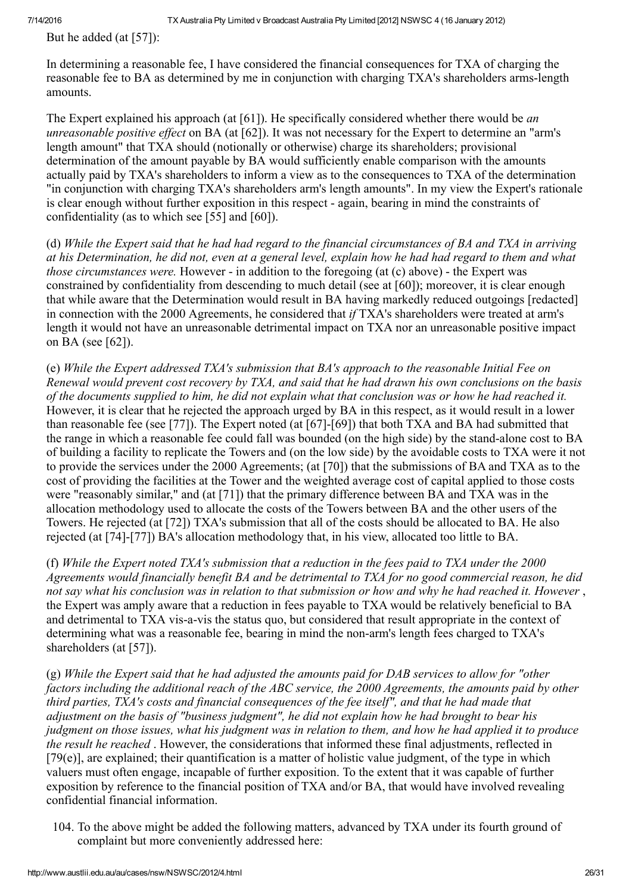But he added (at [57]):

In determining a reasonable fee, I have considered the financial consequences for TXA of charging the reasonable fee to BA as determined by me in conjunction with charging TXA's shareholders arms-length amounts.

The Expert explained his approach (at  $[61]$ ). He specifically considered whether there would be *an* unreasonable positive effect on BA (at [62]). It was not necessary for the Expert to determine an "arm's length amount" that TXA should (notionally or otherwise) charge its shareholders; provisional determination of the amount payable by BA would sufficiently enable comparison with the amounts actually paid by TXA's shareholders to inform a view as to the consequences to TXA of the determination "in conjunction with charging TXA's shareholders arm's length amounts". In my view the Expert's rationale is clear enough without further exposition in this respect - again, bearing in mind the constraints of confidentiality (as to which see [55] and [60]).

(d) While the Expert said that he had had regard to the financial circumstances of BA and TXA in arriving at his Determination, he did not, even at a general level, explain how he had had regard to them and what *those circumstances were.* However  $\overline{\cdot}$  in addition to the foregoing (at (c) above)  $\overline{\cdot}$  the Expert was constrained by confidentiality from descending to much detail (see at [60]); moreover, it is clear enough that while aware that the Determination would result in BA having markedly reduced outgoings [redacted] in connection with the 2000 Agreements, he considered that if TXA's shareholders were treated at arm's length it would not have an unreasonable detrimental impact on TXA nor an unreasonable positive impact on BA (see [62]).

(e) While the Expert addressed TXA's submission that BA's approach to the reasonable Initial Fee on Renewal would prevent cost recovery by TXA, and said that he had drawn his own conclusions on the basis of the documents supplied to him, he did not explain what that conclusion was or how he had reached it. However, it is clear that he rejected the approach urged by BA in this respect, as it would result in a lower than reasonable fee (see [77]). The Expert noted (at  $[67]$ - $[69]$ ) that both TXA and BA had submitted that the range in which a reasonable fee could fall was bounded (on the high side) by the stand-alone cost to BA of building a facility to replicate the Towers and (on the low side) by the avoidable costs to TXA were it not to provide the services under the 2000 Agreements; (at [70]) that the submissions of BA and TXA as to the cost of providing the facilities at the Tower and the weighted average cost of capital applied to those costs were "reasonably similar," and (at [71]) that the primary difference between BA and TXA was in the allocation methodology used to allocate the costs of the Towers between BA and the other users of the Towers. He rejected (at [72]) TXA's submission that all of the costs should be allocated to BA. He also rejected (at  $[74]-[77]$ ) BA's allocation methodology that, in his view, allocated too little to BA.

(f) While the Expert noted TXA's submission that a reduction in the fees paid to TXA under the 2000 Agreements would financially benefit BA and be detrimental to TXA for no good commercial reason, he did not say what his conclusion was in relation to that submission or how and why he had reached it. However, the Expert was amply aware that a reduction in fees payable to TXA would be relatively beneficial to BA and detrimental to TXA vis-a-vis the status quo, but considered that result appropriate in the context of determining what was a reasonable fee, bearing in mind the non-arm's length fees charged to TXA's shareholders (at [57]).

 $(g)$  While the Expert said that he had adjusted the amounts paid for DAB services to allow for "other" factors including the additional reach of the ABC service, the 2000 Agreements, the amounts paid by other third parties, TXA's costs and financial consequences of the fee itself", and that he had made that adjustment on the basis of "business judgment", he did not explain how he had brought to bear his judgment on those issues, what his judgment was in relation to them, and how he had applied it to produce the result he reached . However, the considerations that informed these final adjustments, reflected in [79(e)], are explained; their quantification is a matter of holistic value judgment, of the type in which valuers must often engage, incapable of further exposition. To the extent that it was capable of further exposition by reference to the financial position of TXA and/or BA, that would have involved revealing confidential financial information.

104. To the above might be added the following matters, advanced by TXA under its fourth ground of complaint but more conveniently addressed here: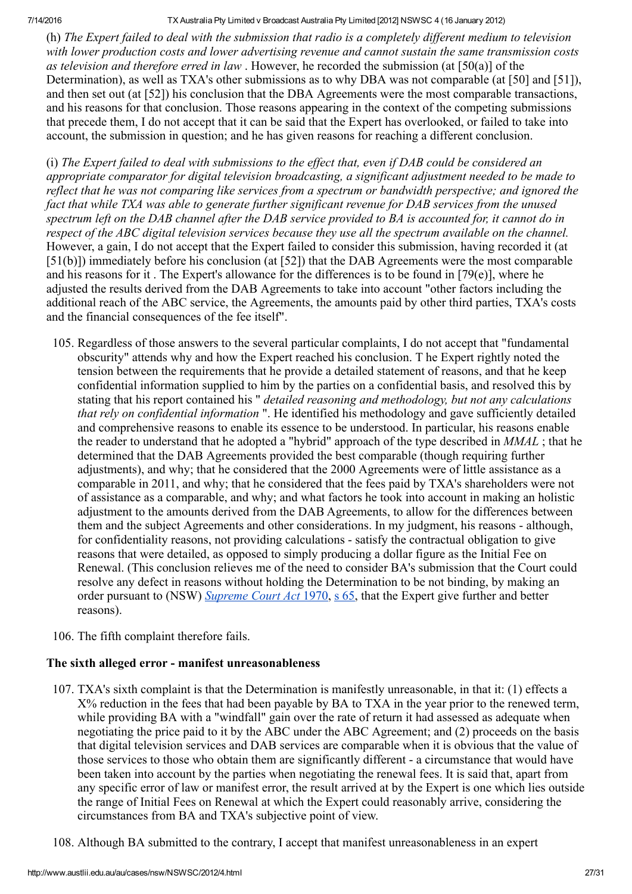(h) The Expert failed to deal with the submission that radio is a completely different medium to television with lower production costs and lower advertising revenue and cannot sustain the same transmission costs as television and therefore erred in law . However, he recorded the submission (at [50(a)] of the Determination), as well as TXA's other submissions as to why DBA was not comparable (at [50] and [51]), and then set out (at [52]) his conclusion that the DBA Agreements were the most comparable transactions, and his reasons for that conclusion. Those reasons appearing in the context of the competing submissions that precede them, I do not accept that it can be said that the Expert has overlooked, or failed to take into account, the submission in question; and he has given reasons for reaching a different conclusion.

(i) The Expert failed to deal with submissions to the effect that, even if  $DAB$  could be considered an appropriate comparator for digital television broadcasting, a significant adjustment needed to be made to reflect that he was not comparing like services from a spectrum or bandwidth perspective; and ignored the fact that while TXA was able to generate further significant revenue for DAB services from the unused spectrum left on the DAB channel after the DAB service provided to BA is accounted for, it cannot do in respect of the ABC digital television services because they use all the spectrum available on the channel. However, a gain, I do not accept that the Expert failed to consider this submission, having recorded it (at [51(b)]) immediately before his conclusion (at [52]) that the DAB Agreements were the most comparable and his reasons for it. The Expert's allowance for the differences is to be found in  $[79(e)]$ , where he adjusted the results derived from the DAB Agreements to take into account "other factors including the additional reach of the ABC service, the Agreements, the amounts paid by other third parties, TXA's costs and the financial consequences of the fee itself".

- 105. Regardless of those answers to the several particular complaints, I do not accept that "fundamental obscurity" attends why and how the Expert reached his conclusion. T he Expert rightly noted the tension between the requirements that he provide a detailed statement of reasons, and that he keep confidential information supplied to him by the parties on a confidential basis, and resolved this by stating that his report contained his " detailed reasoning and methodology, but not any calculations that rely on confidential information ". He identified his methodology and gave sufficiently detailed and comprehensive reasons to enable its essence to be understood. In particular, his reasons enable the reader to understand that he adopted a "hybrid" approach of the type described in MMAL ; that he determined that the DAB Agreements provided the best comparable (though requiring further adjustments), and why; that he considered that the 2000 Agreements were of little assistance as a comparable in 2011, and why; that he considered that the fees paid by TXA's shareholders were not of assistance as a comparable, and why; and what factors he took into account in making an holistic adjustment to the amounts derived from the DAB Agreements, to allow for the differences between them and the subject Agreements and other considerations. In my judgment, his reasons although, for confidentiality reasons, not providing calculations - satisfy the contractual obligation to give reasons that were detailed, as opposed to simply producing a dollar figure as the Initial Fee on Renewal. (This conclusion relieves me of the need to consider BA's submission that the Court could resolve any defect in reasons without holding the Determination to be not binding, by making an order pursuant to (NSW) [Supreme](http://www.austlii.edu.au/au/legis/nsw/consol_act/sca1970183/) Court Act [1970,](http://www.austlii.edu.au/au/legis/nsw/consol_act/sca1970183/) s [65,](http://www.austlii.edu.au/au/legis/nsw/consol_act/sca1970183/s65.html) that the Expert give further and better reasons).
- 106. The fifth complaint therefore fails.

## The sixth alleged error - manifest unreasonableness

- 107. TXA's sixth complaint is that the Determination is manifestly unreasonable, in that it: (1) effects a X% reduction in the fees that had been payable by BA to TXA in the year prior to the renewed term, while providing BA with a "windfall" gain over the rate of return it had assessed as adequate when negotiating the price paid to it by the ABC under the ABC Agreement; and (2) proceeds on the basis that digital television services and DAB services are comparable when it is obvious that the value of those services to those who obtain them are significantly different a circumstance that would have been taken into account by the parties when negotiating the renewal fees. It is said that, apart from any specific error of law or manifest error, the result arrived at by the Expert is one which lies outside the range of Initial Fees on Renewal at which the Expert could reasonably arrive, considering the circumstances from BA and TXA's subjective point of view.
- 108. Although BA submitted to the contrary, I accept that manifest unreasonableness in an expert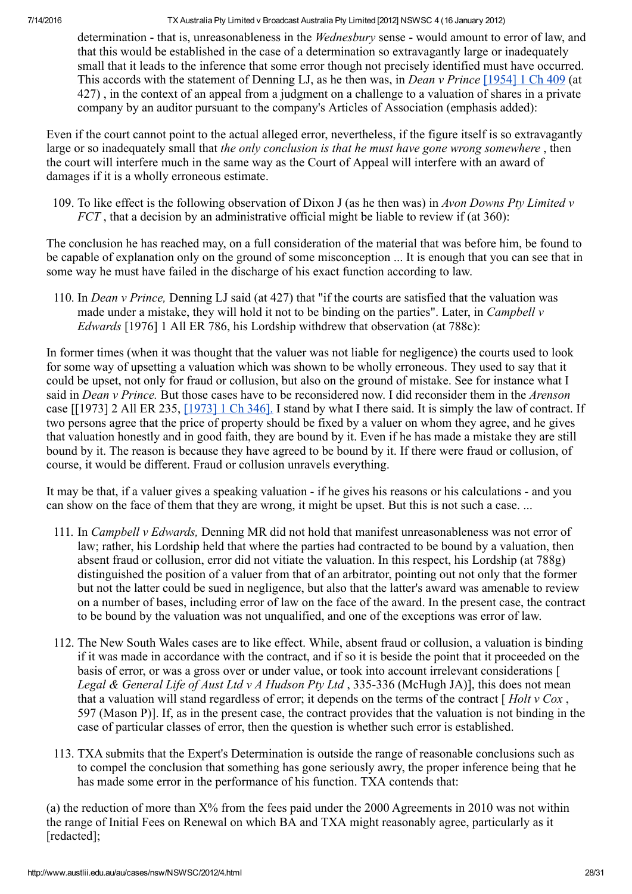determination - that is, unreasonableness in the *Wednesbury* sense - would amount to error of law, and that this would be established in the case of a determination so extravagantly large or inadequately small that it leads to the inference that some error though not precisely identified must have occurred. This accords with the statement of Denning LJ, as he then was, in *Dean v Prince* [\[1954\]](http://www.austlii.edu.au/cgi-bin/LawCite?cit=%5b1954%5d%201%20Ch%20409) 1 Ch 409 (at 427) , in the context of an appeal from a judgment on a challenge to a valuation of shares in a private company by an auditor pursuant to the company's Articles of Association (emphasis added):

Even if the court cannot point to the actual alleged error, nevertheless, if the figure itself is so extravagantly large or so inadequately small that the only conclusion is that he must have gone wrong somewhere, then the court will interfere much in the same way as the Court of Appeal will interfere with an award of damages if it is a wholly erroneous estimate.

109. To like effect is the following observation of Dixon J (as he then was) in Avon Downs Pty Limited v  $FCT$ , that a decision by an administrative official might be liable to review if (at 360):

The conclusion he has reached may, on a full consideration of the material that was before him, be found to be capable of explanation only on the ground of some misconception ... It is enough that you can see that in some way he must have failed in the discharge of his exact function according to law.

110. In *Dean v Prince*, Denning LJ said (at 427) that "if the courts are satisfied that the valuation was made under a mistake, they will hold it not to be binding on the parties". Later, in *Campbell v* Edwards [1976] 1 All ER 786, his Lordship withdrew that observation (at 788c):

In former times (when it was thought that the valuer was not liable for negligence) the courts used to look for some way of upsetting a valuation which was shown to be wholly erroneous. They used to say that it could be upset, not only for fraud or collusion, but also on the ground of mistake. See for instance what I said in *Dean v Prince*. But those cases have to be reconsidered now. I did reconsider them in the *Arenson* case [[1973] 2 All ER 235, [\[1973\]](http://www.austlii.edu.au/cgi-bin/LawCite?cit=%5b1973%5d%201%20Ch%20346) 1 Ch 346]. I stand by what I there said. It is simply the law of contract. If two persons agree that the price of property should be fixed by a valuer on whom they agree, and he gives that valuation honestly and in good faith, they are bound by it. Even if he has made a mistake they are still bound by it. The reason is because they have agreed to be bound by it. If there were fraud or collusion, of course, it would be different. Fraud or collusion unravels everything.

It may be that, if a valuer gives a speaking valuation - if he gives his reasons or his calculations - and you can show on the face of them that they are wrong, it might be upset. But this is not such a case. ...

- 111. In Campbell v Edwards, Denning MR did not hold that manifest unreasonableness was not error of law; rather, his Lordship held that where the parties had contracted to be bound by a valuation, then absent fraud or collusion, error did not vitiate the valuation. In this respect, his Lordship (at 788g) distinguished the position of a valuer from that of an arbitrator, pointing out not only that the former but not the latter could be sued in negligence, but also that the latter's award was amenable to review on a number of bases, including error of law on the face of the award. In the present case, the contract to be bound by the valuation was not unqualified, and one of the exceptions was error of law.
- 112. The New South Wales cases are to like effect. While, absent fraud or collusion, a valuation is binding if it was made in accordance with the contract, and if so it is beside the point that it proceeded on the basis of error, or was a gross over or under value, or took into account irrelevant considerations [ Legal & General Life of Aust Ltd v A Hudson Pty Ltd , 335-336 (McHugh JA)], this does not mean that a valuation will stand regardless of error; it depends on the terms of the contract  $\int$  Holt v Cox, 597 (Mason P)]. If, as in the present case, the contract provides that the valuation is not binding in the case of particular classes of error, then the question is whether such error is established.
- 113. TXA submits that the Expert's Determination is outside the range of reasonable conclusions such as to compel the conclusion that something has gone seriously awry, the proper inference being that he has made some error in the performance of his function. TXA contends that:

(a) the reduction of more than X% from the fees paid under the 2000 Agreements in 2010 was not within the range of Initial Fees on Renewal on which BA and TXA might reasonably agree, particularly as it [redacted];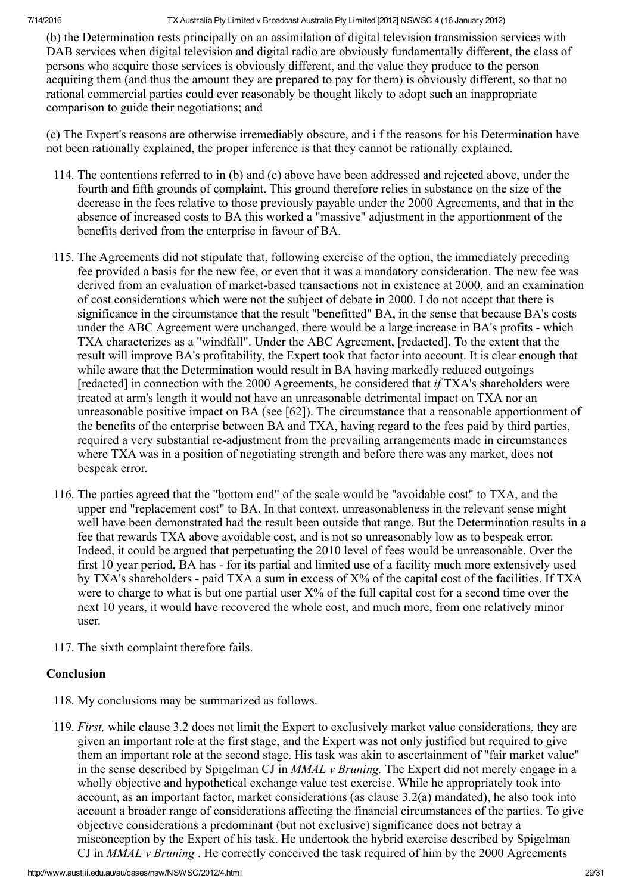(b) the Determination rests principally on an assimilation of digital television transmission services with DAB services when digital television and digital radio are obviously fundamentally different, the class of persons who acquire those services is obviously different, and the value they produce to the person acquiring them (and thus the amount they are prepared to pay for them) is obviously different, so that no rational commercial parties could ever reasonably be thought likely to adopt such an inappropriate comparison to guide their negotiations; and

(c) The Expert's reasons are otherwise irremediably obscure, and i f the reasons for his Determination have not been rationally explained, the proper inference is that they cannot be rationally explained.

- 114. The contentions referred to in (b) and (c) above have been addressed and rejected above, under the fourth and fifth grounds of complaint. This ground therefore relies in substance on the size of the decrease in the fees relative to those previously payable under the 2000 Agreements, and that in the absence of increased costs to BA this worked a "massive" adjustment in the apportionment of the benefits derived from the enterprise in favour of BA.
- 115. The Agreements did not stipulate that, following exercise of the option, the immediately preceding fee provided a basis for the new fee, or even that it was a mandatory consideration. The new fee was derived from an evaluation of market-based transactions not in existence at 2000, and an examination of cost considerations which were not the subject of debate in 2000. I do not accept that there is significance in the circumstance that the result "benefitted" BA, in the sense that because BA's costs under the ABC Agreement were unchanged, there would be a large increase in BA's profits - which TXA characterizes as a "windfall". Under the ABC Agreement, [redacted]. To the extent that the result will improve BA's profitability, the Expert took that factor into account. It is clear enough that while aware that the Determination would result in BA having markedly reduced outgoings [redacted] in connection with the 2000 Agreements, he considered that *if* TXA's shareholders were treated at arm's length it would not have an unreasonable detrimental impact on TXA nor an unreasonable positive impact on BA (see [62]). The circumstance that a reasonable apportionment of the benefits of the enterprise between BA and TXA, having regard to the fees paid by third parties, required a very substantial re-adjustment from the prevailing arrangements made in circumstances where TXA was in a position of negotiating strength and before there was any market, does not bespeak error.
- 116. The parties agreed that the "bottom end" of the scale would be "avoidable cost" to TXA, and the upper end "replacement cost" to BA. In that context, unreasonableness in the relevant sense might well have been demonstrated had the result been outside that range. But the Determination results in a fee that rewards TXA above avoidable cost, and is not so unreasonably low as to bespeak error. Indeed, it could be argued that perpetuating the 2010 level of fees would be unreasonable. Over the first 10 year period, BA has - for its partial and limited use of a facility much more extensively used by TXA's shareholders - paid TXA a sum in excess of  $X\%$  of the capital cost of the facilities. If TXA were to charge to what is but one partial user  $X\%$  of the full capital cost for a second time over the next 10 years, it would have recovered the whole cost, and much more, from one relatively minor user.
- 117. The sixth complaint therefore fails.

## Conclusion

- 118. My conclusions may be summarized as follows.
- 119. First, while clause 3.2 does not limit the Expert to exclusively market value considerations, they are given an important role at the first stage, and the Expert was not only justified but required to give them an important role at the second stage. His task was akin to ascertainment of "fair market value" in the sense described by Spigelman CJ in *MMAL v Bruning*. The Expert did not merely engage in a wholly objective and hypothetical exchange value test exercise. While he appropriately took into account, as an important factor, market considerations (as clause 3.2(a) mandated), he also took into account a broader range of considerations affecting the financial circumstances of the parties. To give objective considerations a predominant (but not exclusive) significance does not betray a misconception by the Expert of his task. He undertook the hybrid exercise described by Spigelman CJ in  $MMAL$  v Bruning. He correctly conceived the task required of him by the 2000 Agreements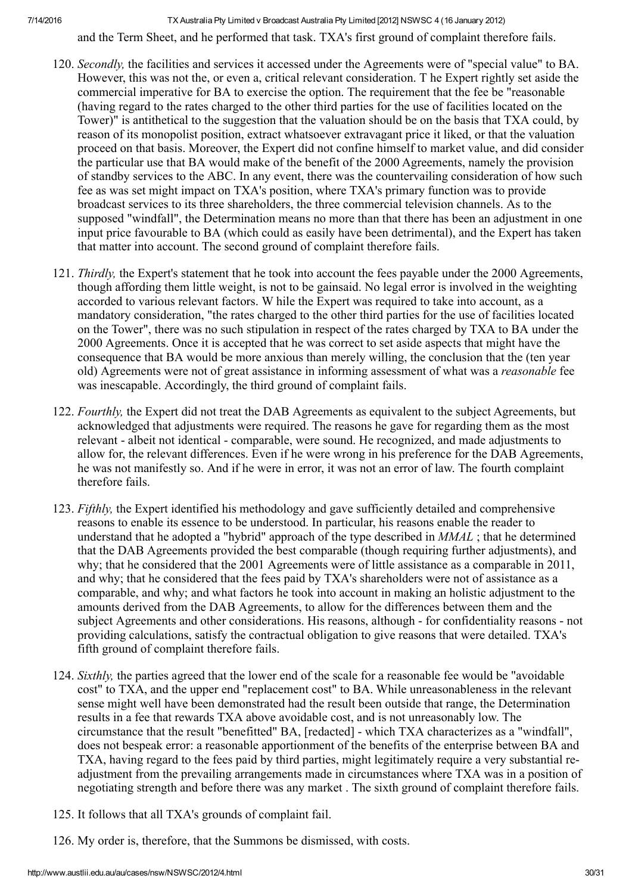and the Term Sheet, and he performed that task. TXA's first ground of complaint therefore fails.

- 120. Secondly, the facilities and services it accessed under the Agreements were of "special value" to BA. However, this was not the, or even a, critical relevant consideration. T he Expert rightly set aside the commercial imperative for BA to exercise the option. The requirement that the fee be "reasonable (having regard to the rates charged to the other third parties for the use of facilities located on the Tower)" is antithetical to the suggestion that the valuation should be on the basis that TXA could, by reason of its monopolist position, extract whatsoever extravagant price it liked, or that the valuation proceed on that basis. Moreover, the Expert did not confine himself to market value, and did consider the particular use that BA would make of the benefit of the 2000 Agreements, namely the provision of standby services to the ABC. In any event, there was the countervailing consideration of how such fee as was set might impact on TXA's position, where TXA's primary function was to provide broadcast services to its three shareholders, the three commercial television channels. As to the supposed "windfall", the Determination means no more than that there has been an adjustment in one input price favourable to BA (which could as easily have been detrimental), and the Expert has taken that matter into account. The second ground of complaint therefore fails.
- 121. Thirdly, the Expert's statement that he took into account the fees payable under the 2000 Agreements, though affording them little weight, is not to be gainsaid. No legal error is involved in the weighting accorded to various relevant factors. W hile the Expert was required to take into account, as a mandatory consideration, "the rates charged to the other third parties for the use of facilities located on the Tower", there was no such stipulation in respect of the rates charged by TXA to BA under the 2000 Agreements. Once it is accepted that he was correct to set aside aspects that might have the consequence that BA would be more anxious than merely willing, the conclusion that the (ten year old) Agreements were not of great assistance in informing assessment of what was a reasonable fee was inescapable. Accordingly, the third ground of complaint fails.
- 122. Fourthly, the Expert did not treat the DAB Agreements as equivalent to the subject Agreements, but acknowledged that adjustments were required. The reasons he gave for regarding them as the most relevant - albeit not identical - comparable, were sound. He recognized, and made adjustments to allow for, the relevant differences. Even if he were wrong in his preference for the DAB Agreements, he was not manifestly so. And if he were in error, it was not an error of law. The fourth complaint therefore fails.
- 123. Fifthly, the Expert identified his methodology and gave sufficiently detailed and comprehensive reasons to enable its essence to be understood. In particular, his reasons enable the reader to understand that he adopted a "hybrid" approach of the type described in MMAL ; that he determined that the DAB Agreements provided the best comparable (though requiring further adjustments), and why; that he considered that the 2001 Agreements were of little assistance as a comparable in 2011, and why; that he considered that the fees paid by TXA's shareholders were not of assistance as a comparable, and why; and what factors he took into account in making an holistic adjustment to the amounts derived from the DAB Agreements, to allow for the differences between them and the subject Agreements and other considerations. His reasons, although - for confidentiality reasons - not providing calculations, satisfy the contractual obligation to give reasons that were detailed. TXA's fifth ground of complaint therefore fails.
- 124. Sixthly, the parties agreed that the lower end of the scale for a reasonable fee would be "avoidable cost" to TXA, and the upper end "replacement cost" to BA. While unreasonableness in the relevant sense might well have been demonstrated had the result been outside that range, the Determination results in a fee that rewards TXA above avoidable cost, and is not unreasonably low. The circumstance that the result "benefitted" BA, [redacted] which TXA characterizes as a "windfall", does not bespeak error: a reasonable apportionment of the benefits of the enterprise between BA and TXA, having regard to the fees paid by third parties, might legitimately require a very substantial readjustment from the prevailing arrangements made in circumstances where TXA was in a position of negotiating strength and before there was any market . The sixth ground of complaint therefore fails.
- 125. It follows that all TXA's grounds of complaint fail.
- 126. My order is, therefore, that the Summons be dismissed, with costs.